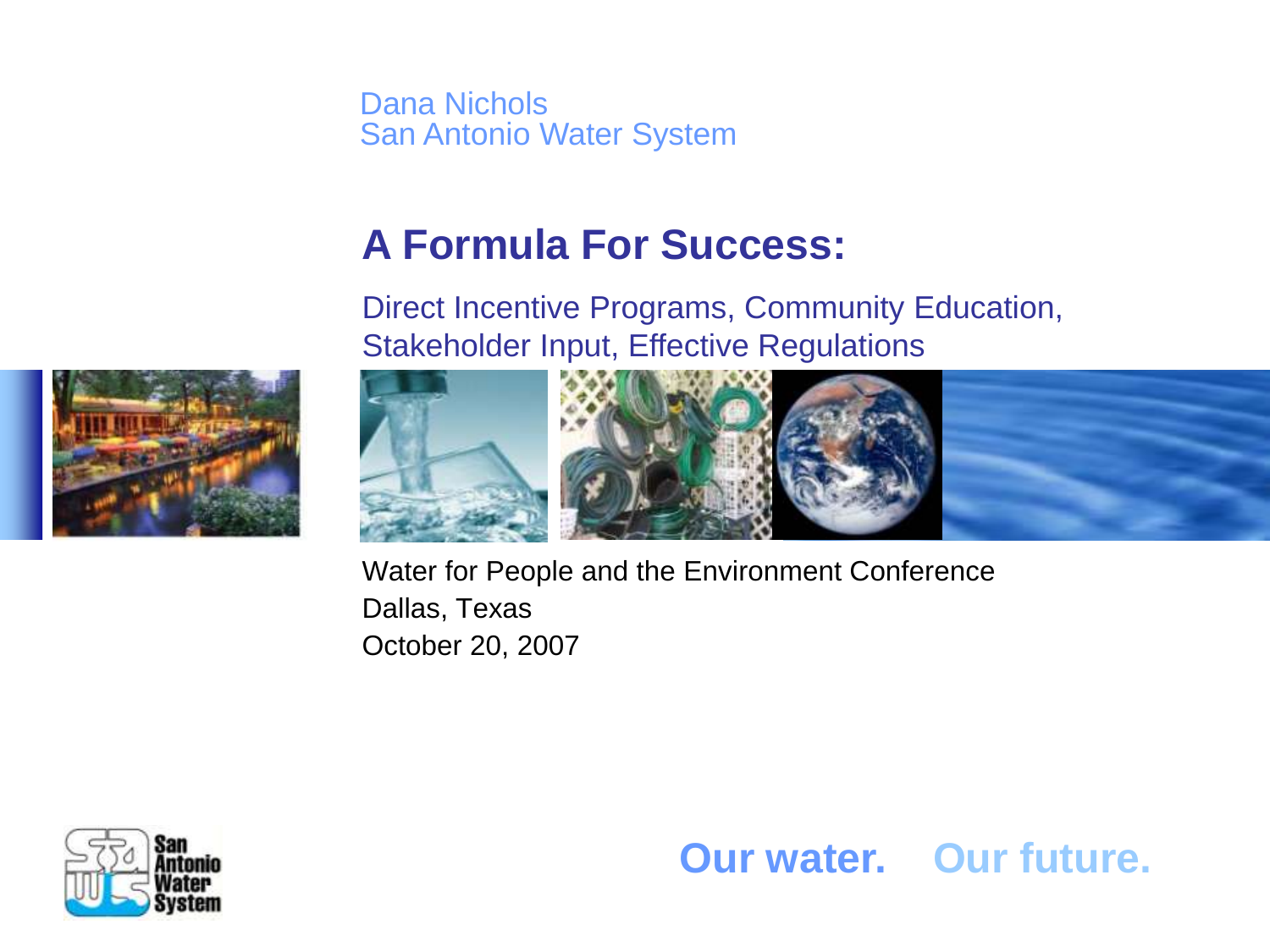Dana Nichols San Antonio Water System

### **A Formula For Success:**

Direct Incentive Programs, Community Education, Stakeholder Input, Effective Regulations





Water for People and the Environment Conference Dallas, Texas October 20, 2007



**Our water. Our future.**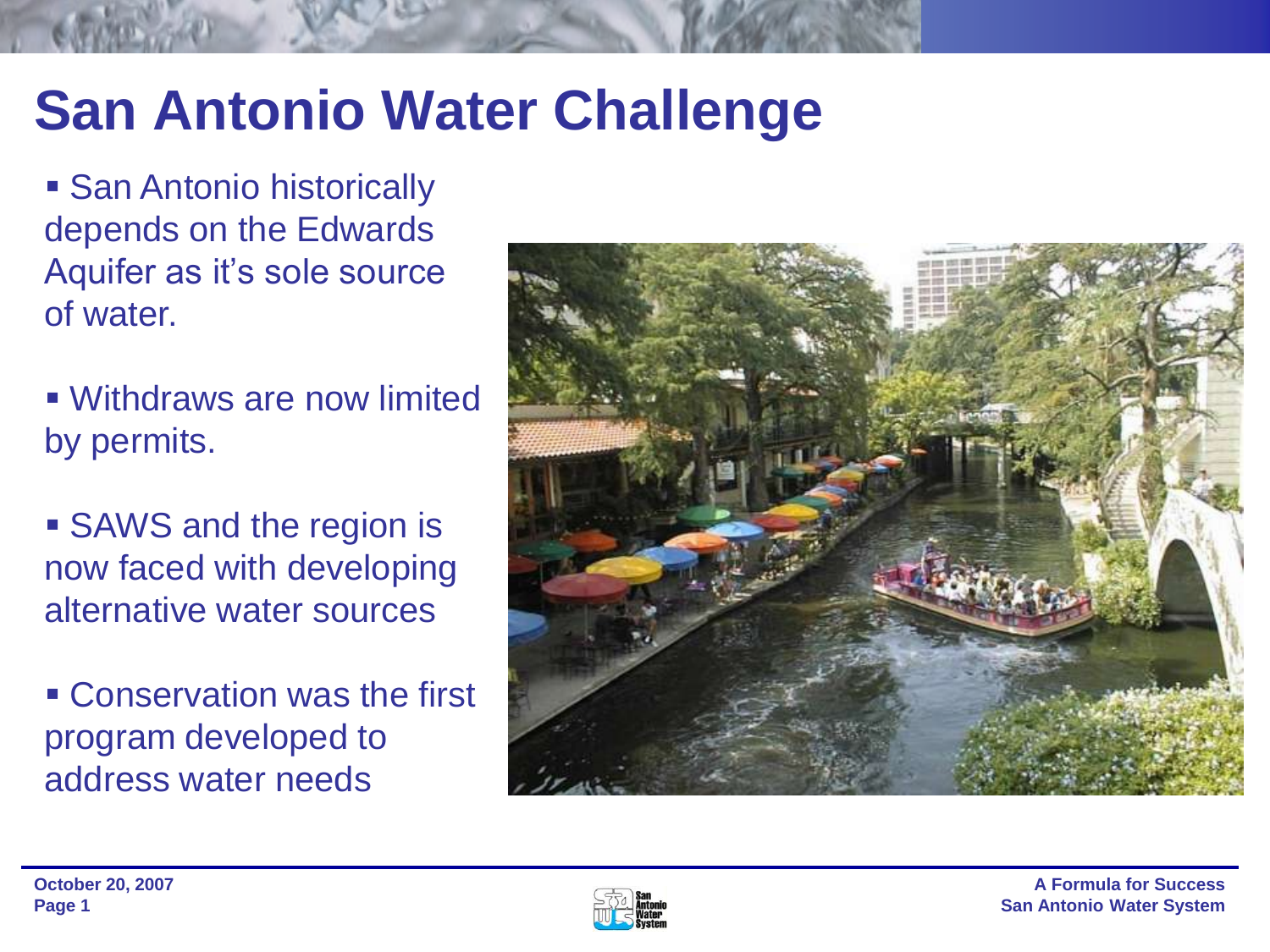## **San Antonio Water Challenge**

**San Antonio historically** depends on the Edwards Aquifer as it's sole source of water.

 Withdraws are now limited by permits.

**SAWS** and the region is now faced with developing alternative water sources

 Conservation was the first program developed to address water needs



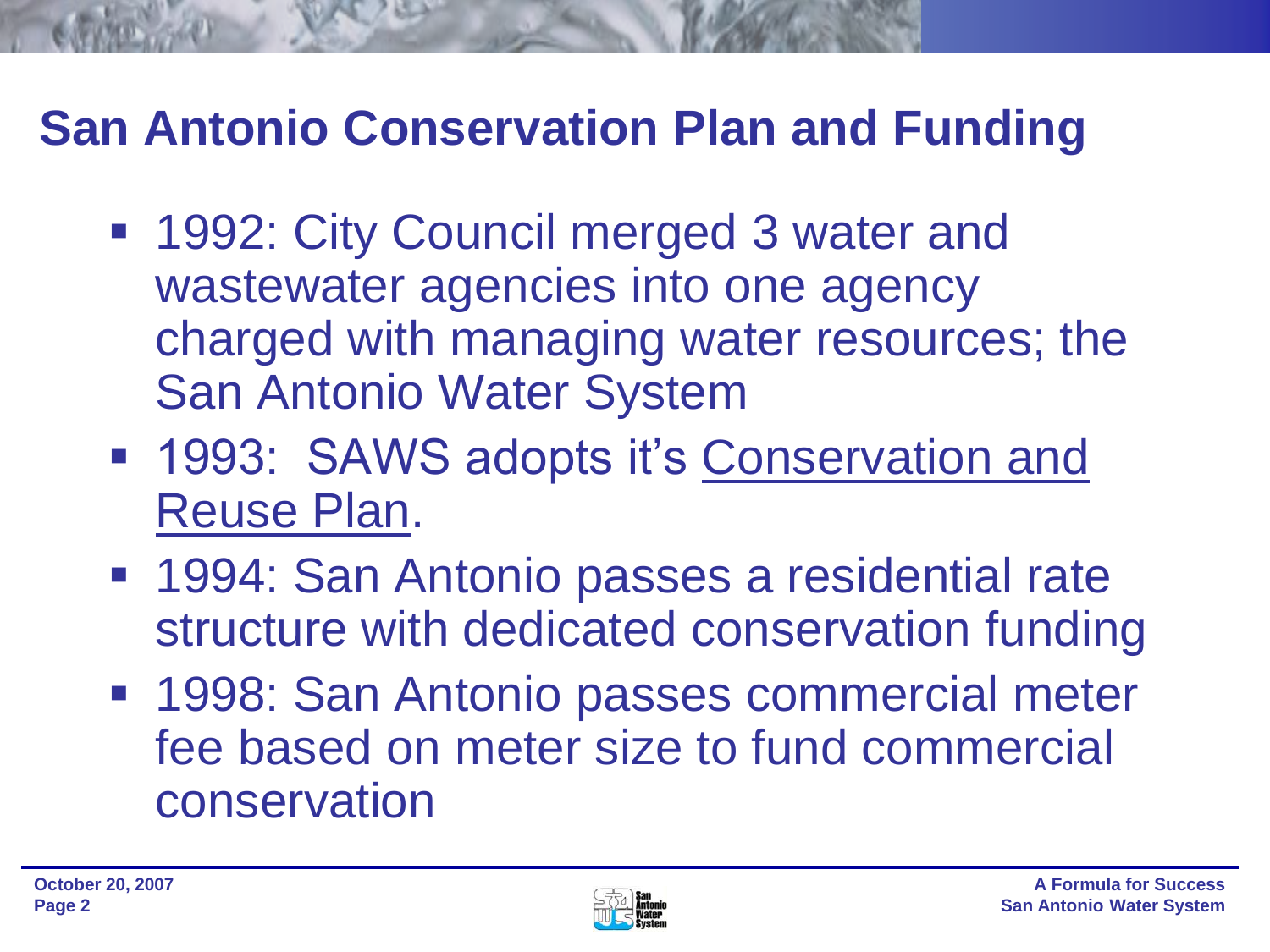## **San Antonio Conservation Plan and Funding**

- 1992: City Council merged 3 water and wastewater agencies into one agency charged with managing water resources; the San Antonio Water System
- 1993: SAWS adopts it's Conservation and Reuse Plan.
- **1994: San Antonio passes a residential rate** structure with dedicated conservation funding
- **1998: San Antonio passes commercial meter** fee based on meter size to fund commercial conservation

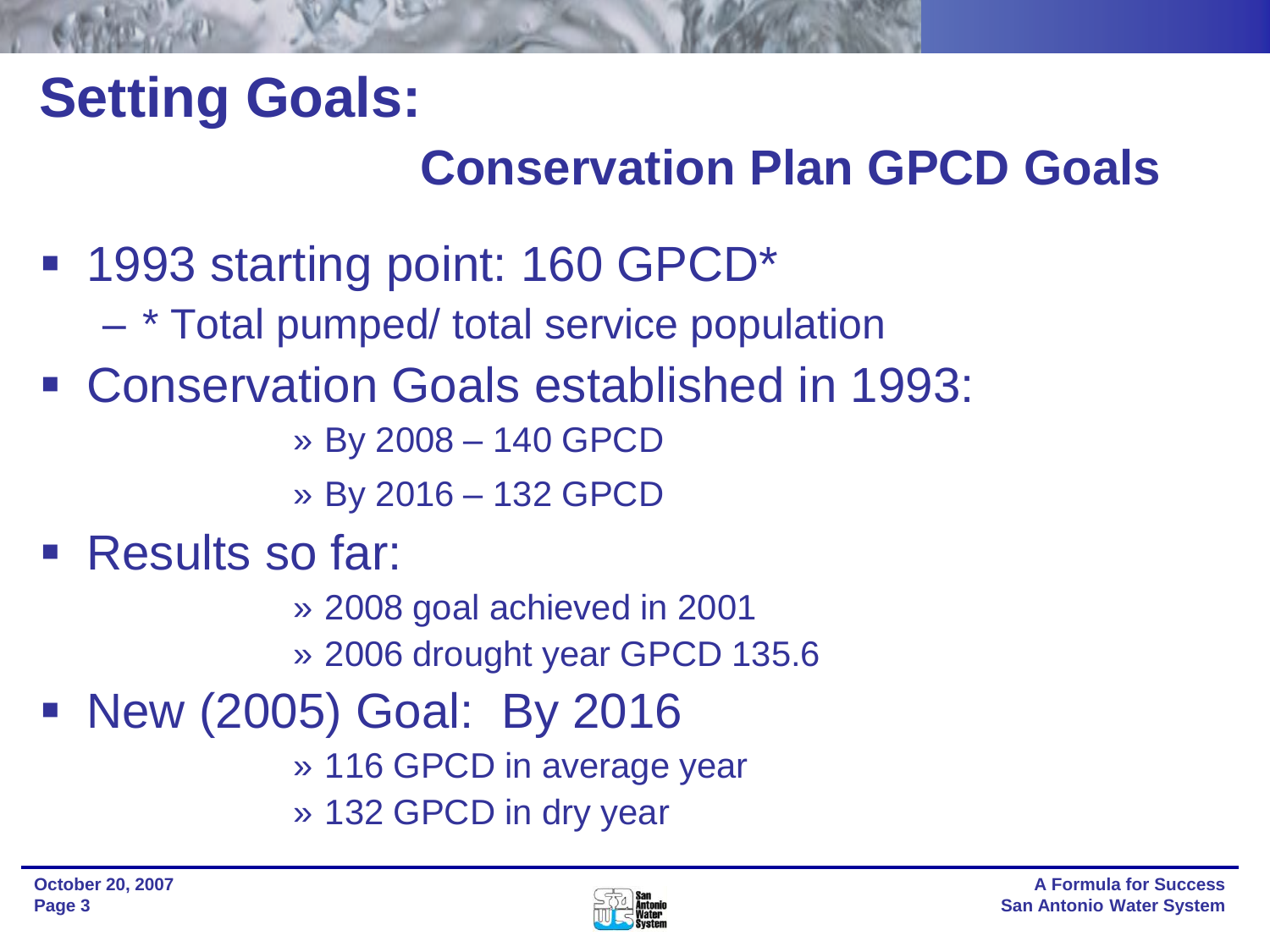## **Setting Goals:**

## **Conservation Plan GPCD Goals**

- 1993 starting point: 160 GPCD<sup>\*</sup>
	- \* Total pumped/ total service population
- Conservation Goals established in 1993:
	- » By 2008 140 GPCD
	- » By 2016 132 GPCD
- **Results so far:** 
	- » 2008 goal achieved in 2001
	- » 2006 drought year GPCD 135.6
- New (2005) Goal: By 2016
	- » 116 GPCD in average year
	- » 132 GPCD in dry year

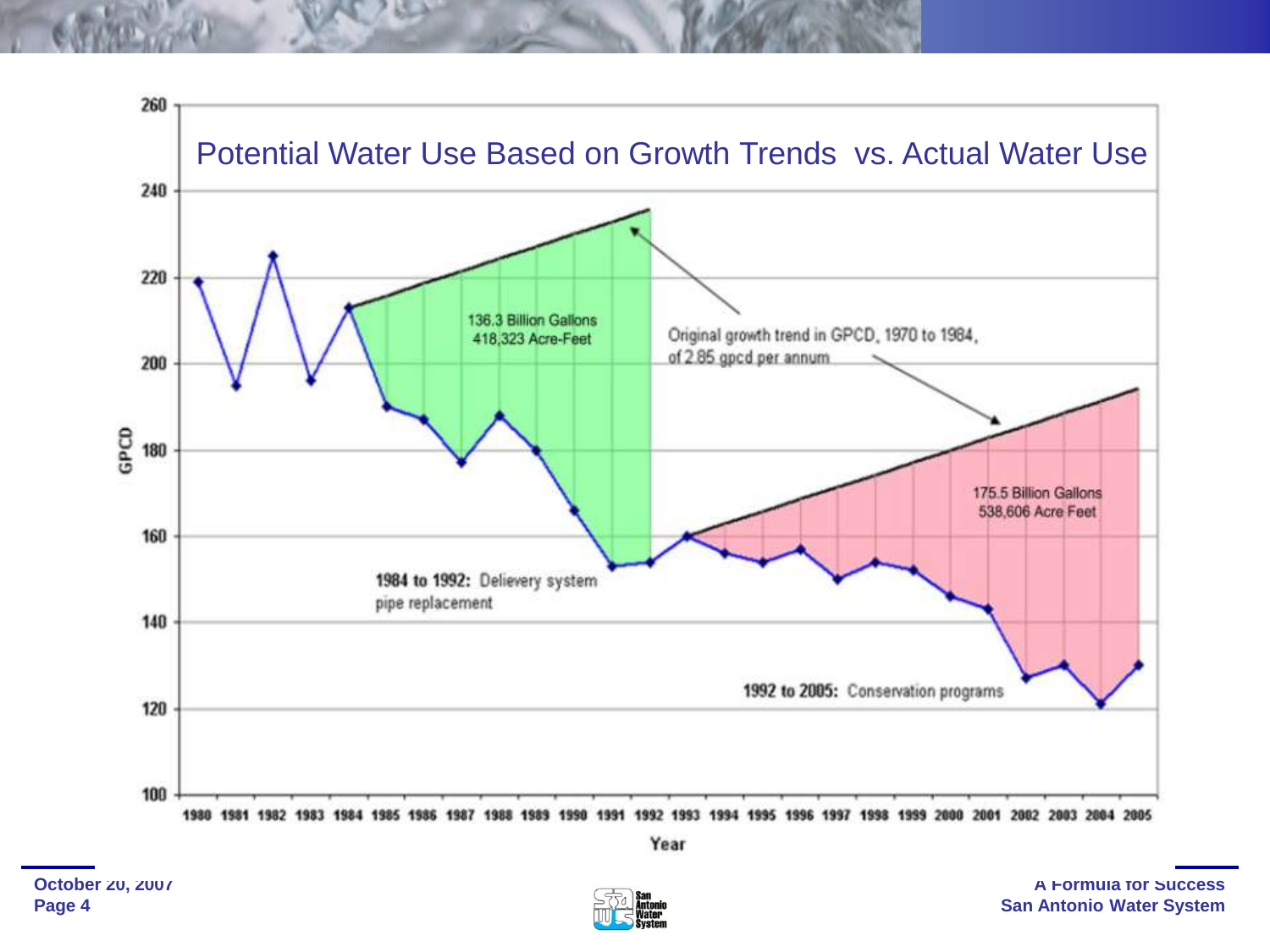

Year

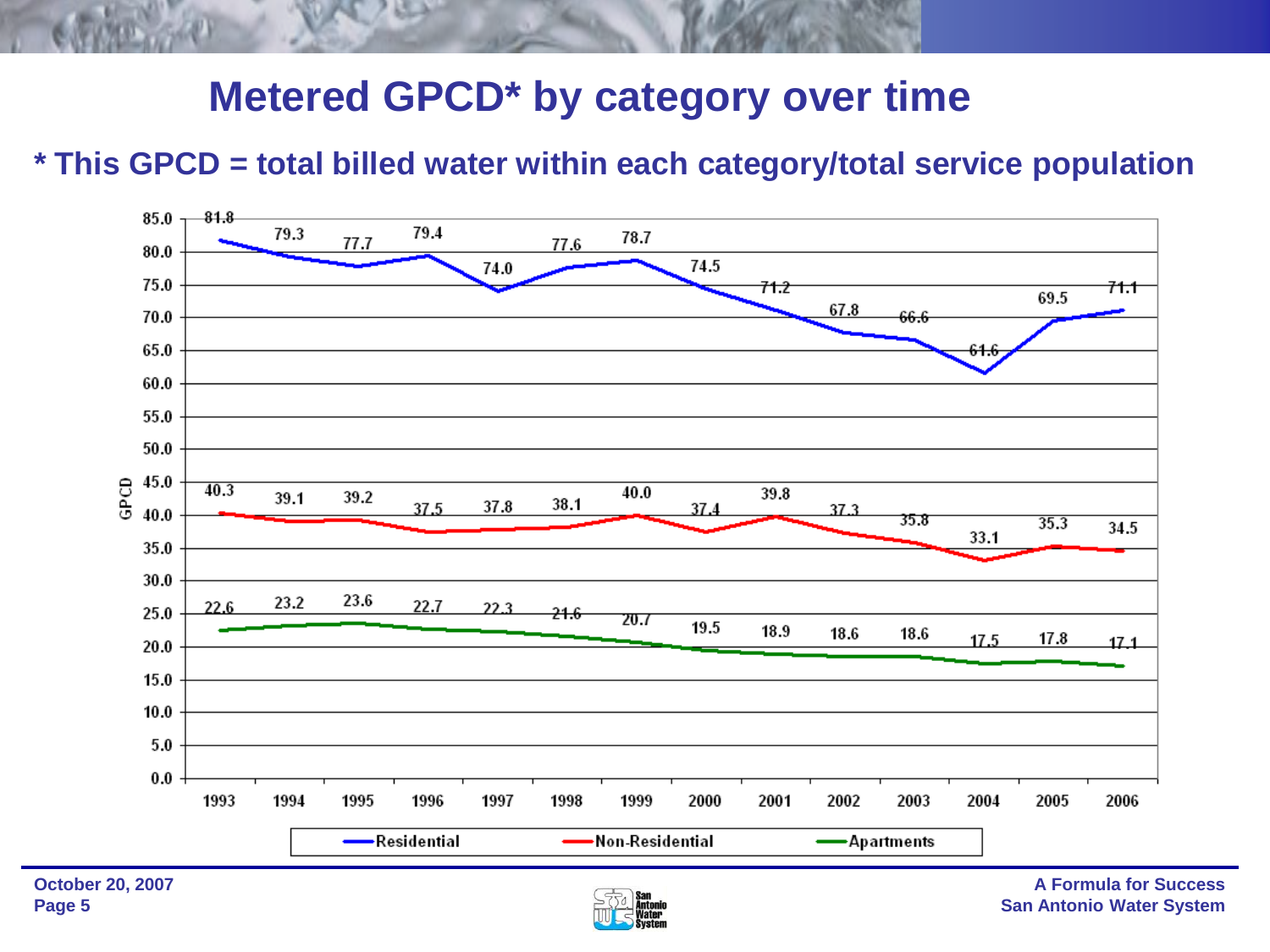### **Metered GPCD\* by category over time**

### **\* This GPCD = total billed water within each category/total service population**



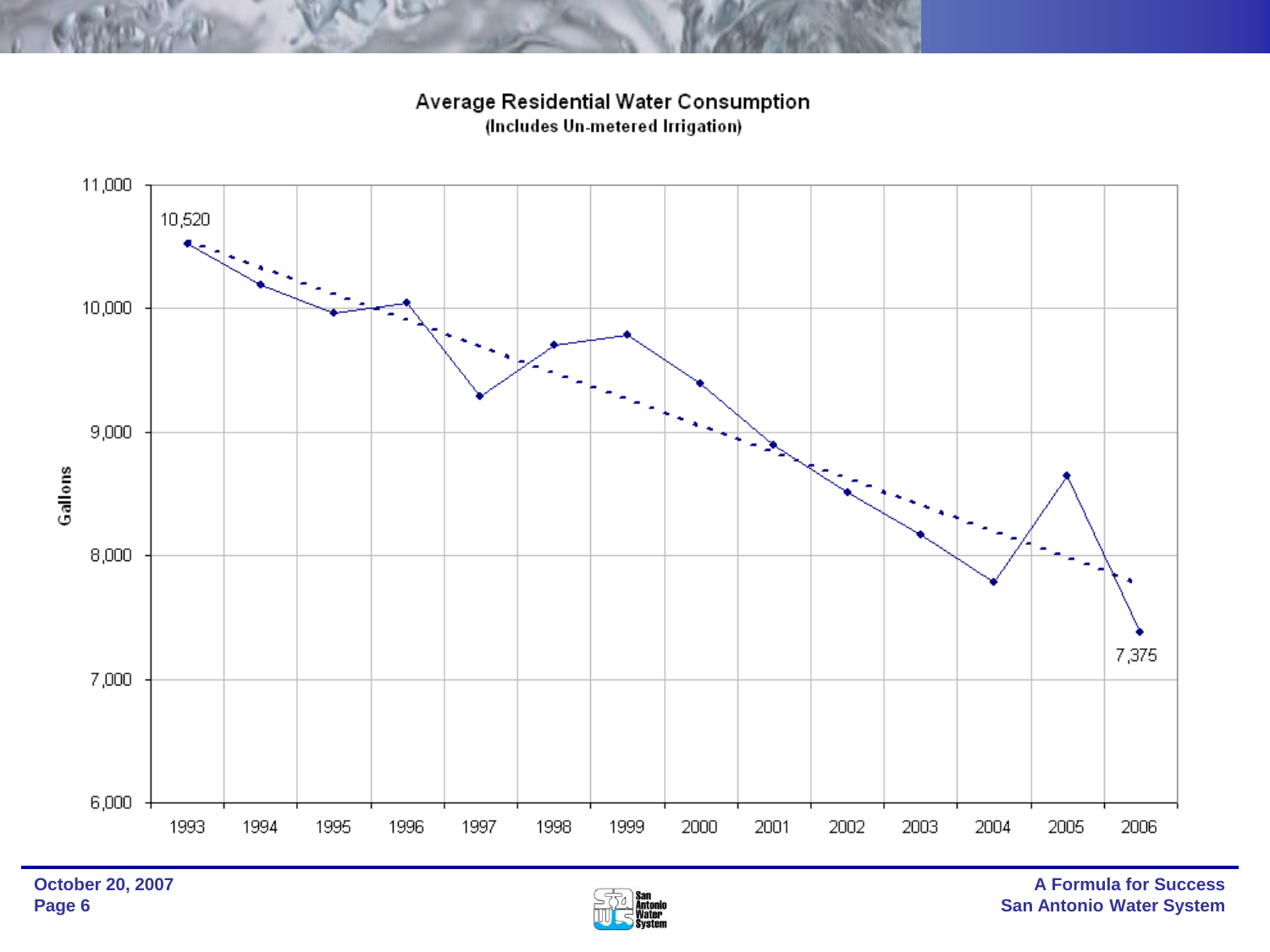Average Residential Water Consumption (Includes Un-metered Irrigation)



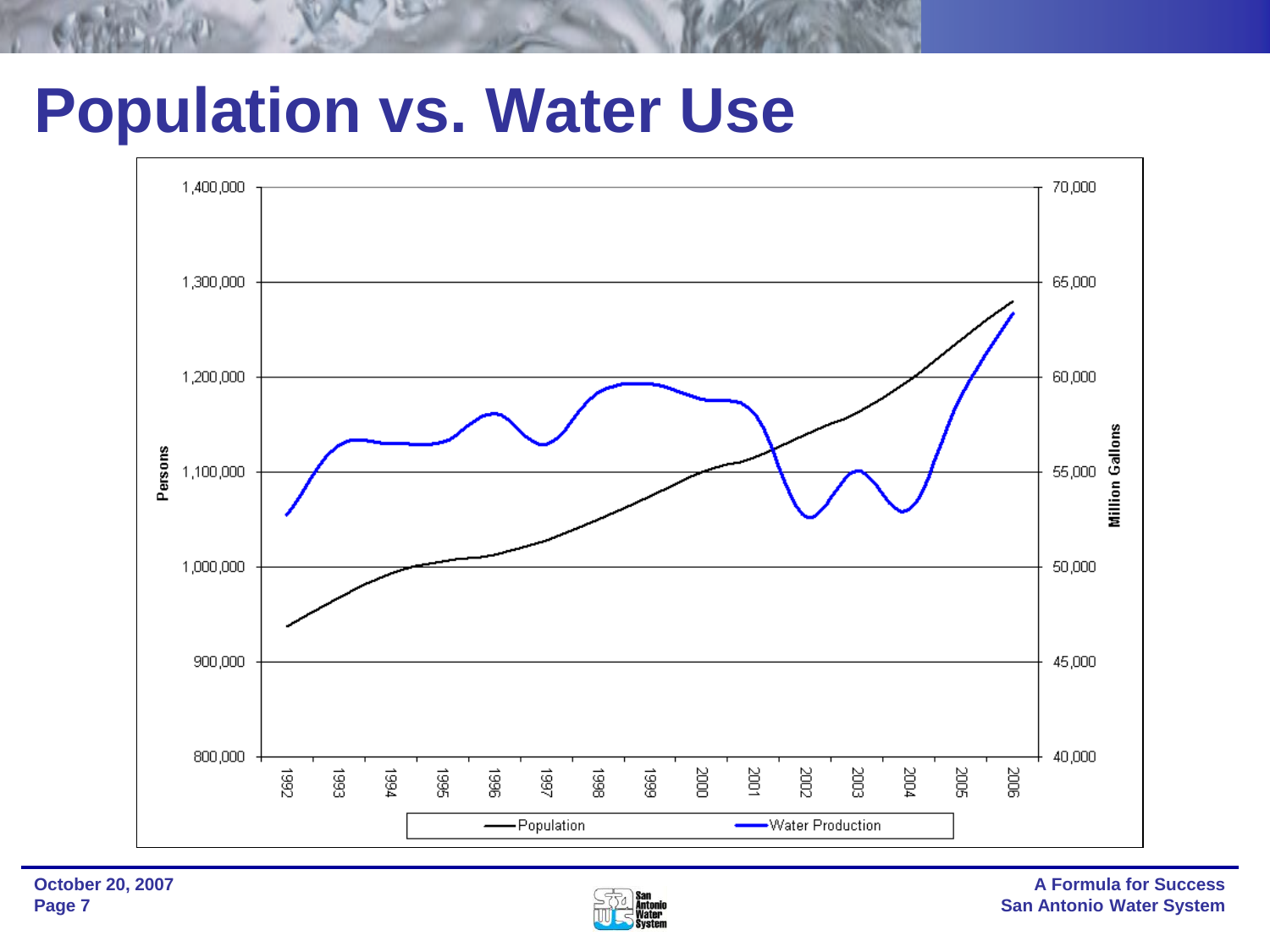## **Population vs. Water Use**



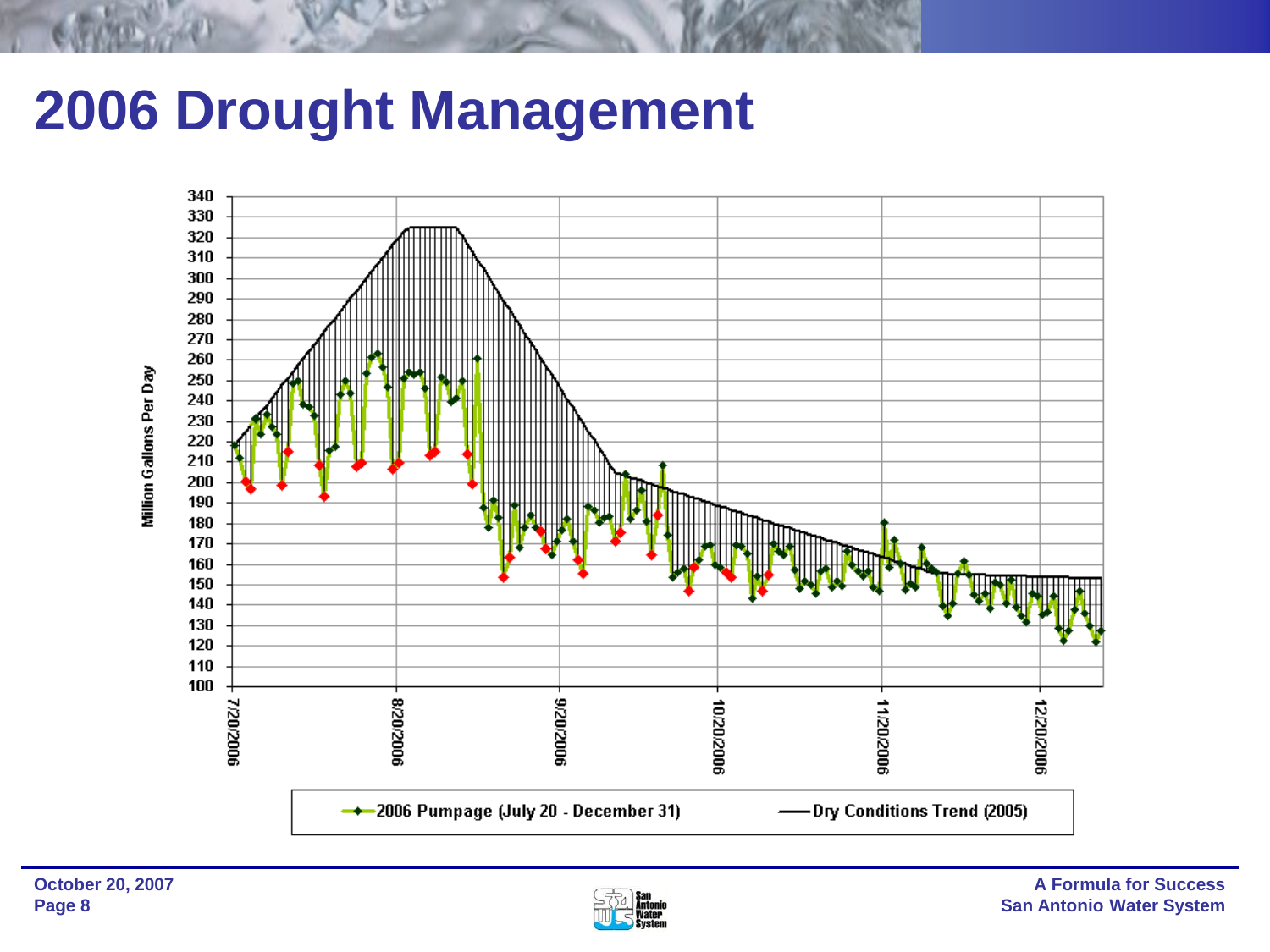## **2006 Drought Management**



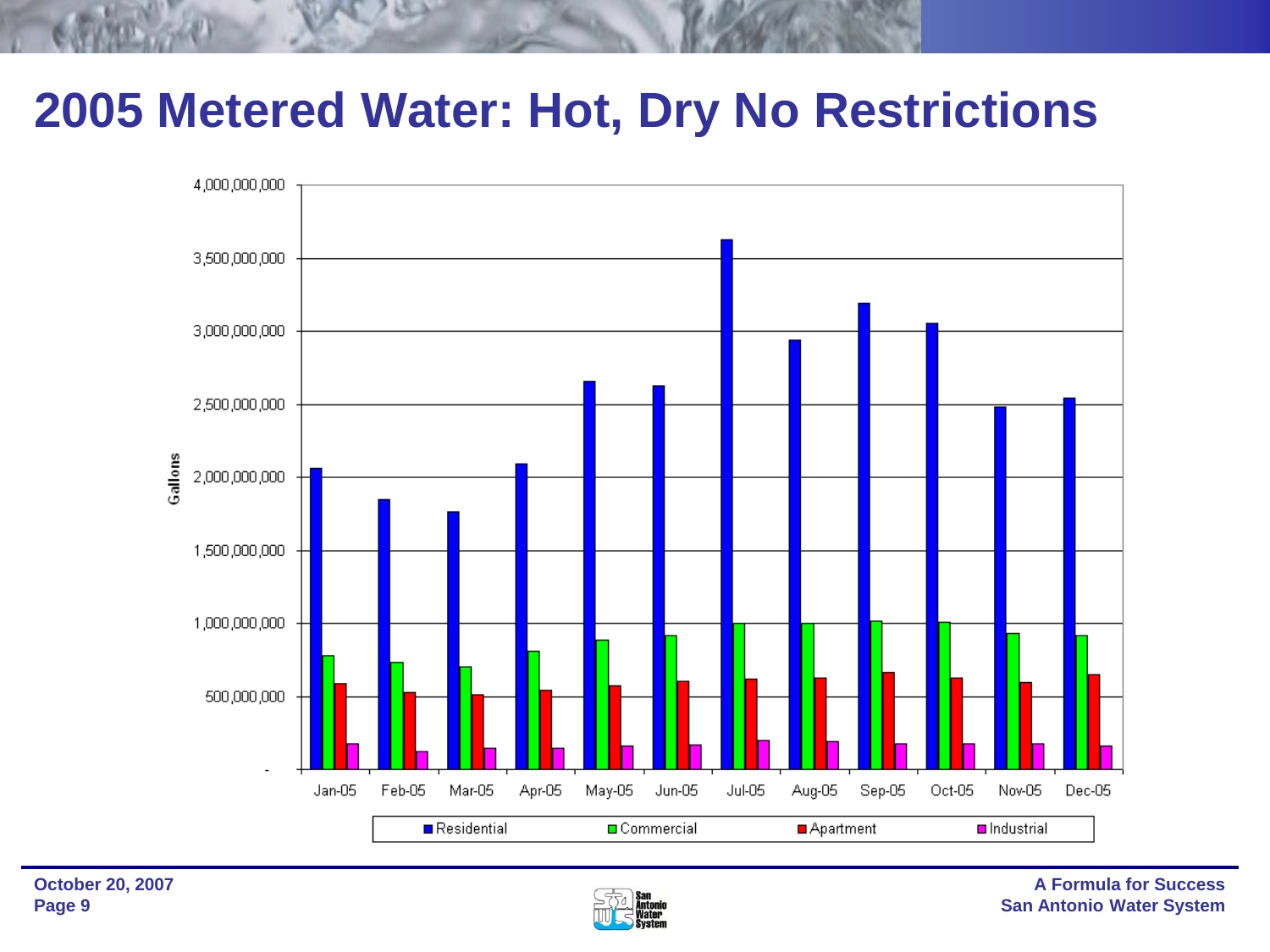### **2005 Metered Water: Hot, Dry No Restrictions**



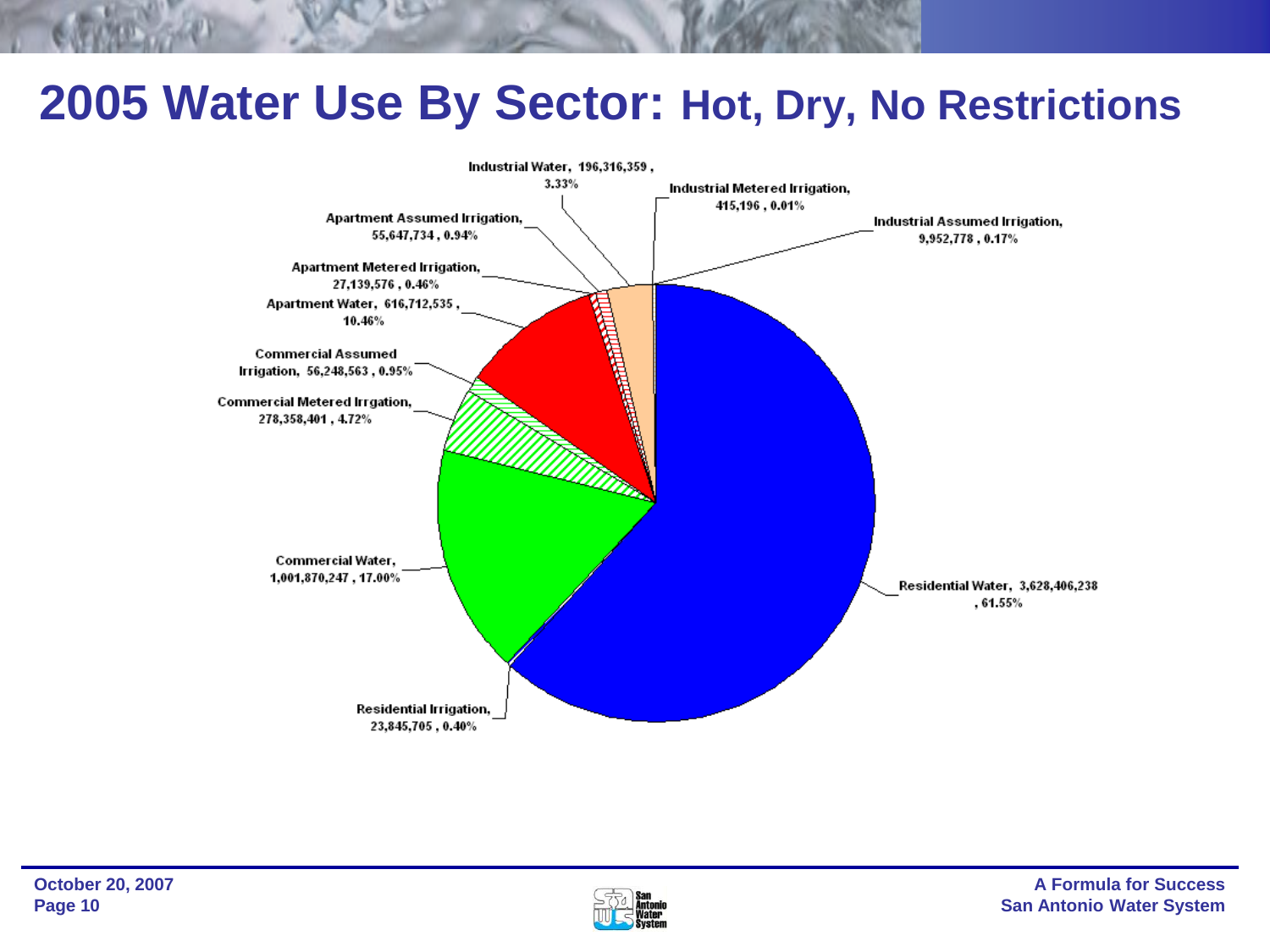### **2005 Water Use By Sector: Hot, Dry, No Restrictions**



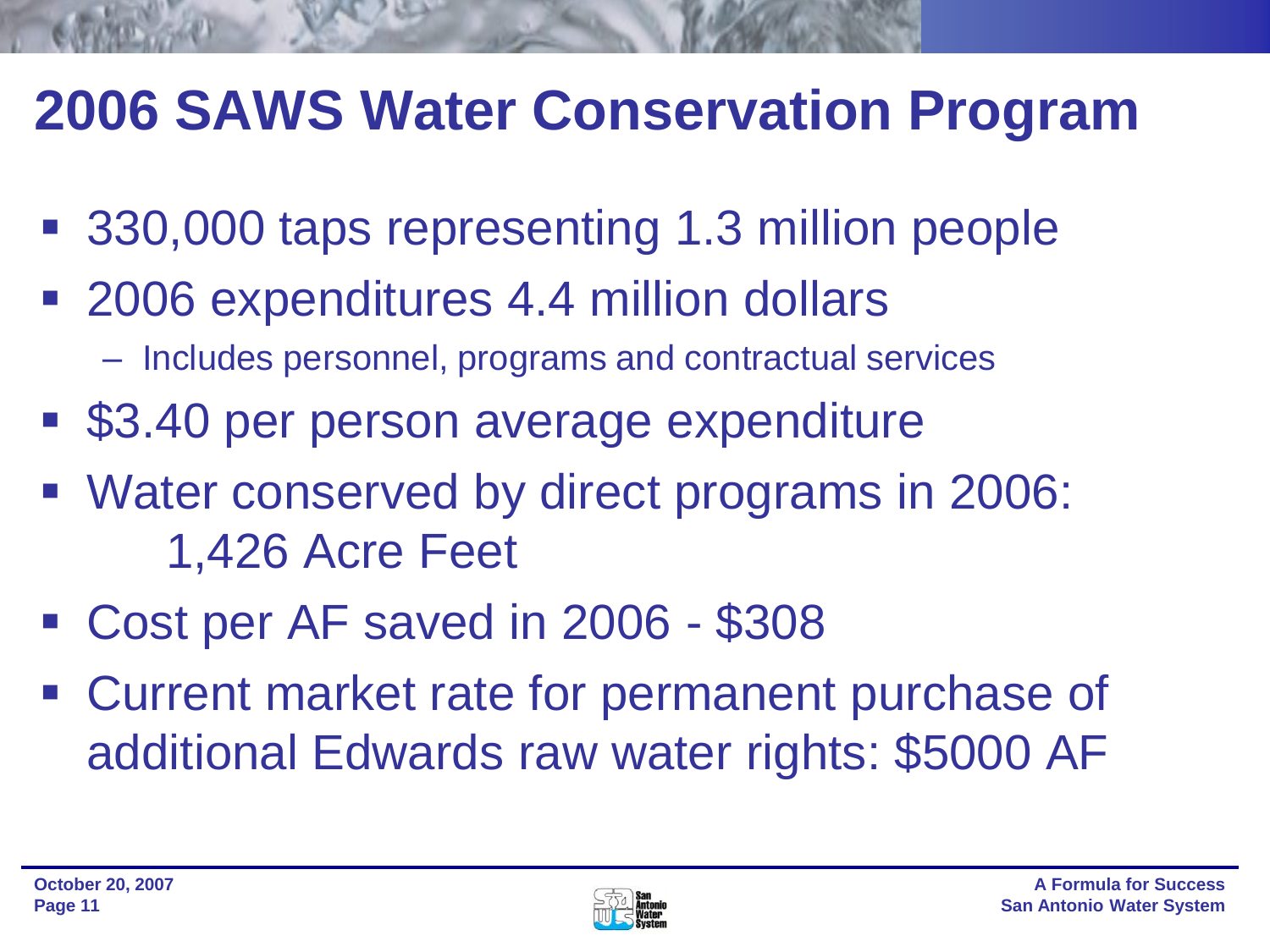## **2006 SAWS Water Conservation Program**

- 330,000 taps representing 1.3 million people
- 2006 expenditures 4.4 million dollars
	- Includes personnel, programs and contractual services
- \$3.40 per person average expenditure
- Water conserved by direct programs in 2006: 1,426 Acre Feet
- Cost per AF saved in 2006 \$308
- Current market rate for permanent purchase of additional Edwards raw water rights: \$5000 AF

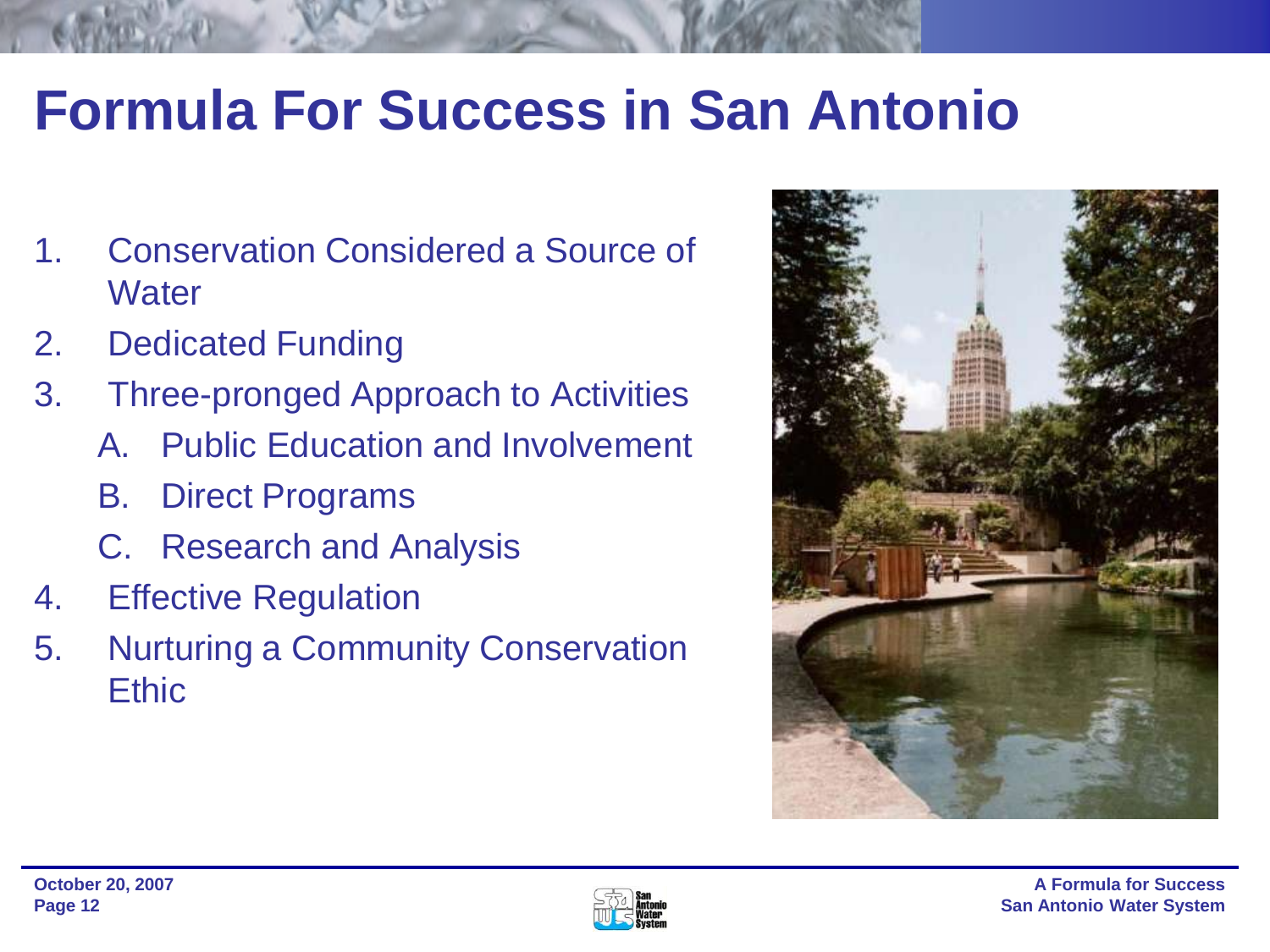## **Formula For Success in San Antonio**

- 1. Conservation Considered a Source of **Water**
- 2. Dedicated Funding
- 3. Three-pronged Approach to Activities
	- A. Public Education and Involvement
	- B. Direct Programs
	- C. Research and Analysis
- 4. Effective Regulation
- 5. Nurturing a Community Conservation **Ethic**



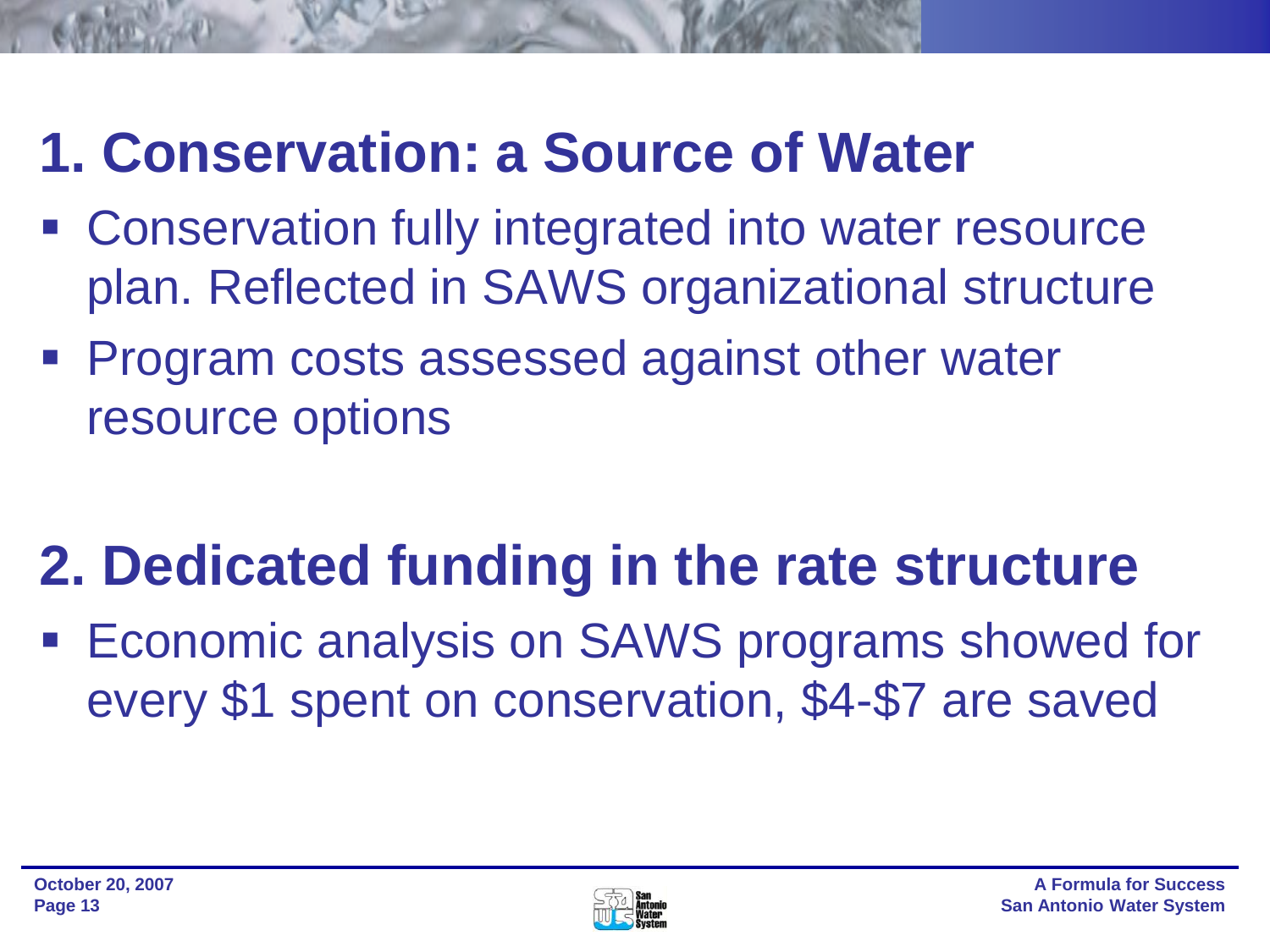## **1. Conservation: a Source of Water**

- Conservation fully integrated into water resource plan. Reflected in SAWS organizational structure
- **Program costs assessed against other water** resource options

## **2. Dedicated funding in the rate structure**

**Economic analysis on SAWS programs showed for** every \$1 spent on conservation, \$4-\$7 are saved

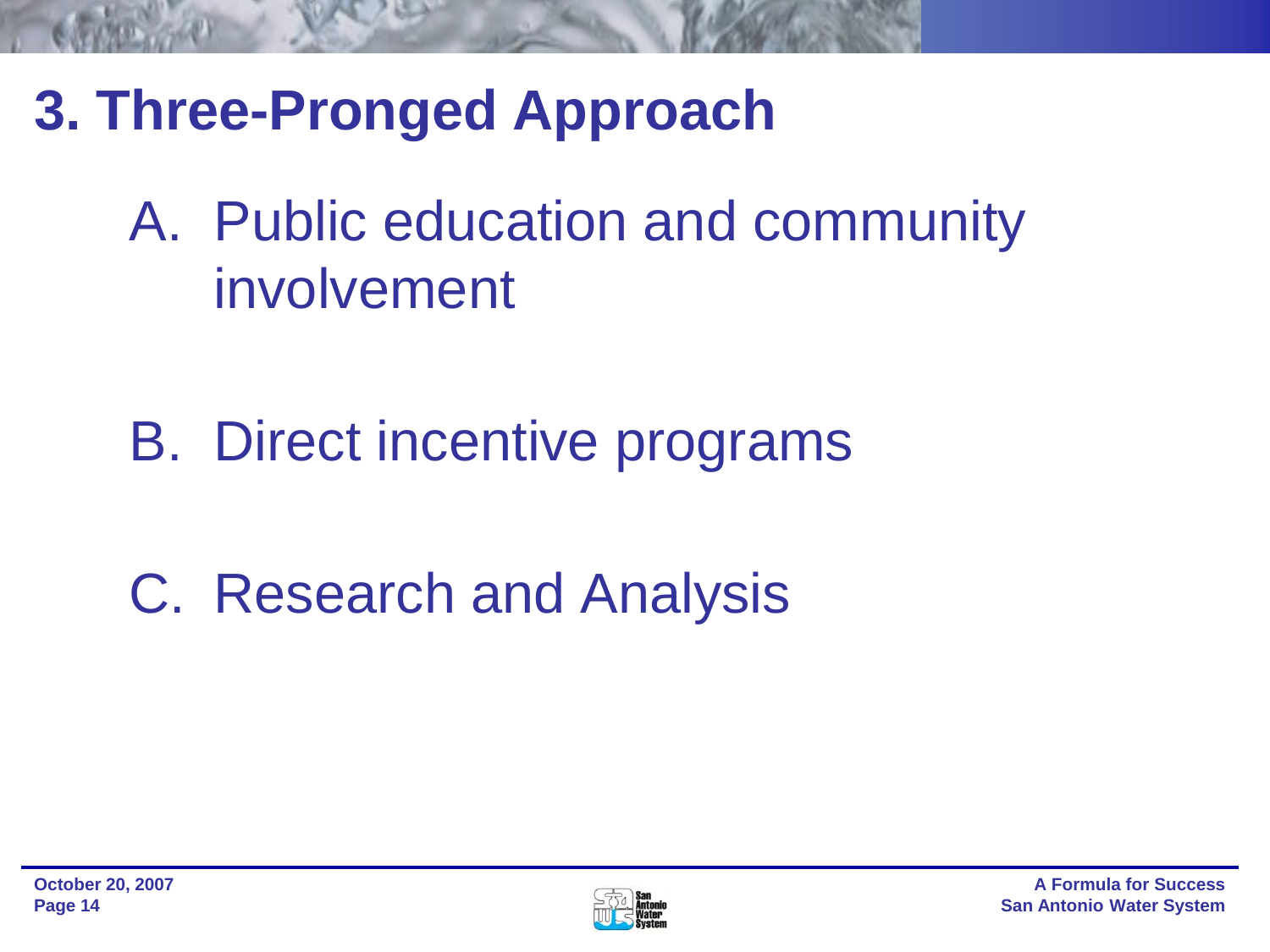- **3. Three-Pronged Approach** 
	- A. Public education and community involvement
	- B. Direct incentive programs
	- C. Research and Analysis

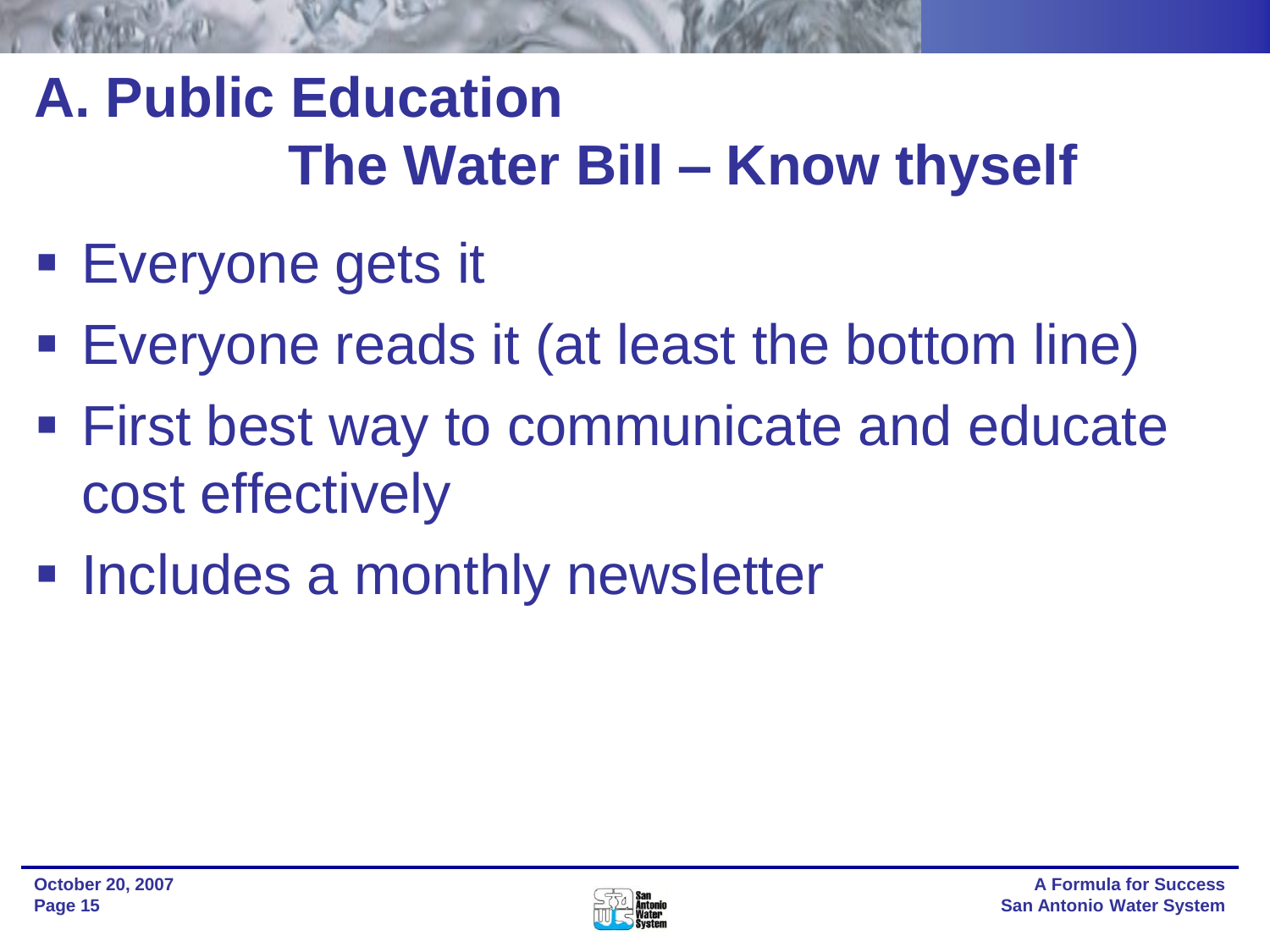## **A. Public Education The Water Bill – Know thyself**

- Everyone gets it
- Everyone reads it (at least the bottom line)
- **First best way to communicate and educate** cost effectively
- **Includes a monthly newsletter**

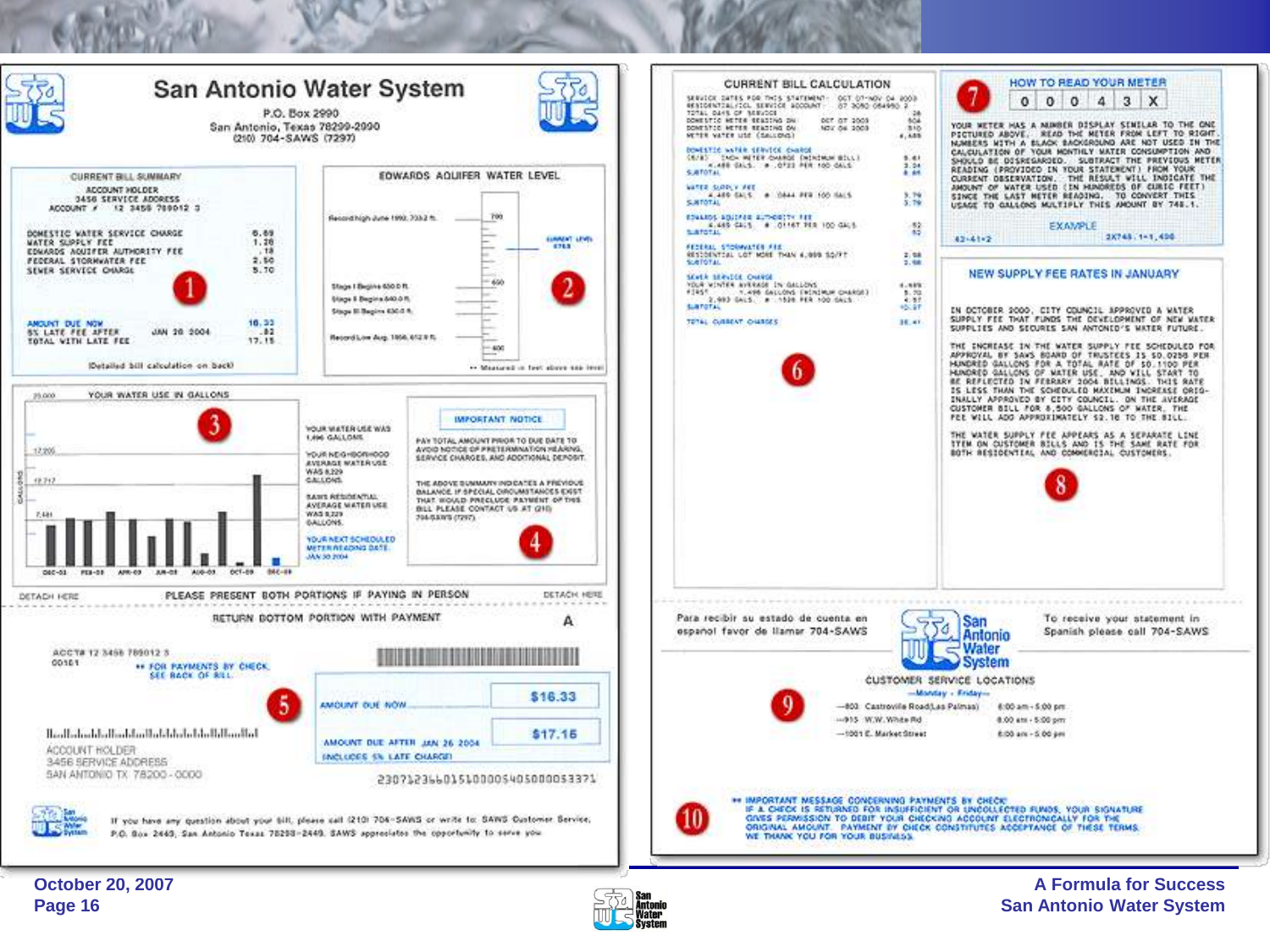



**A Formula for Success San Antonio Water System**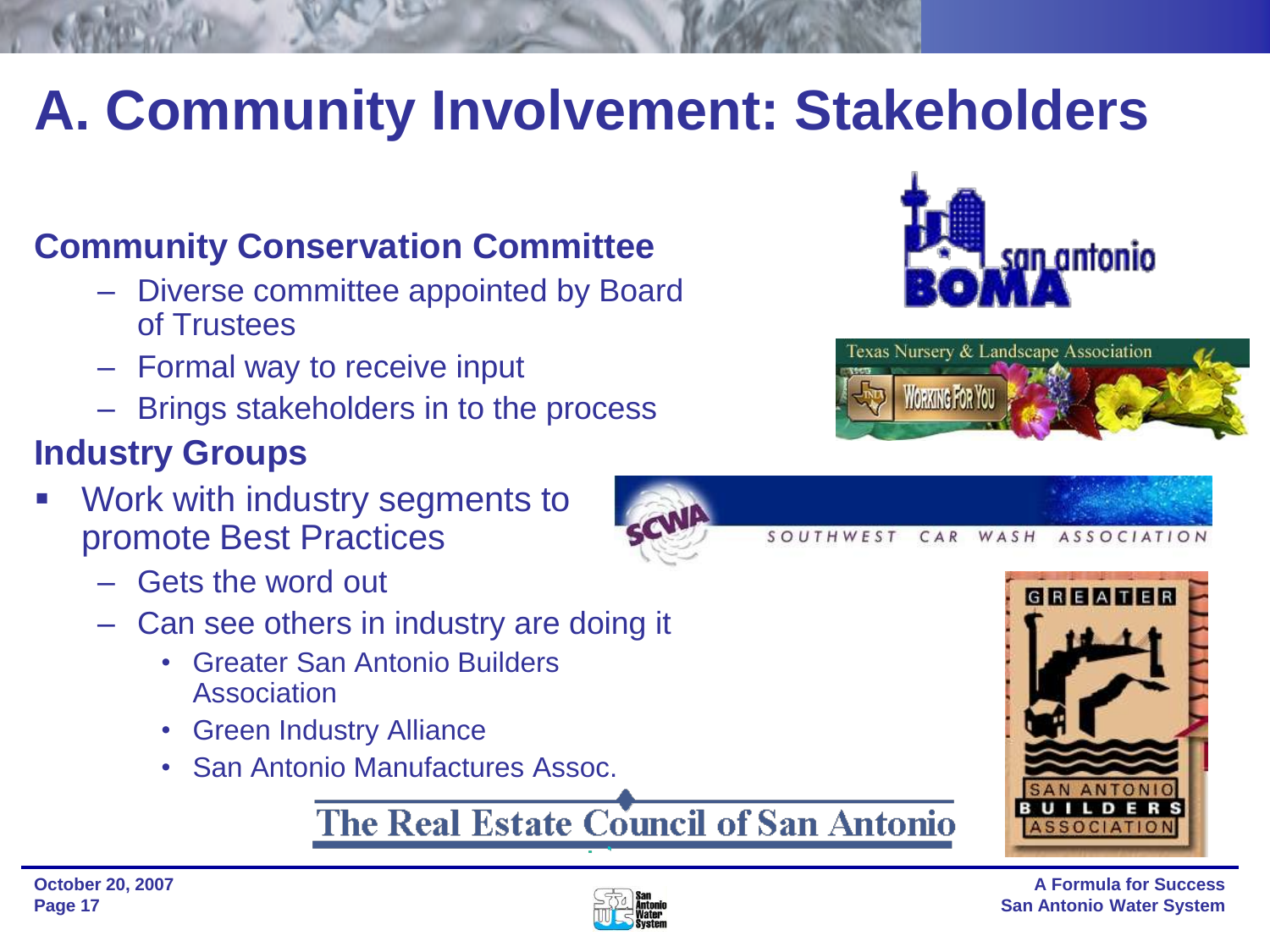## **A. Community Involvement: Stakeholders**

### **Community Conservation Committee**

- Diverse committee appointed by Board of Trustees
- Formal way to receive input
- Brings stakeholders in to the process

### **Industry Groups**

- Work with industry segments to promote Best Practices
	- Gets the word out
	- Can see others in industry are doing it
		- Greater San Antonio Builders Association
		- Green Industry Alliance
		- San Antonio Manufactures Assoc.

### The Real Estate Council of San Antonio





WASH

SOUTHWEST CAR



**ASSOCIATION** 

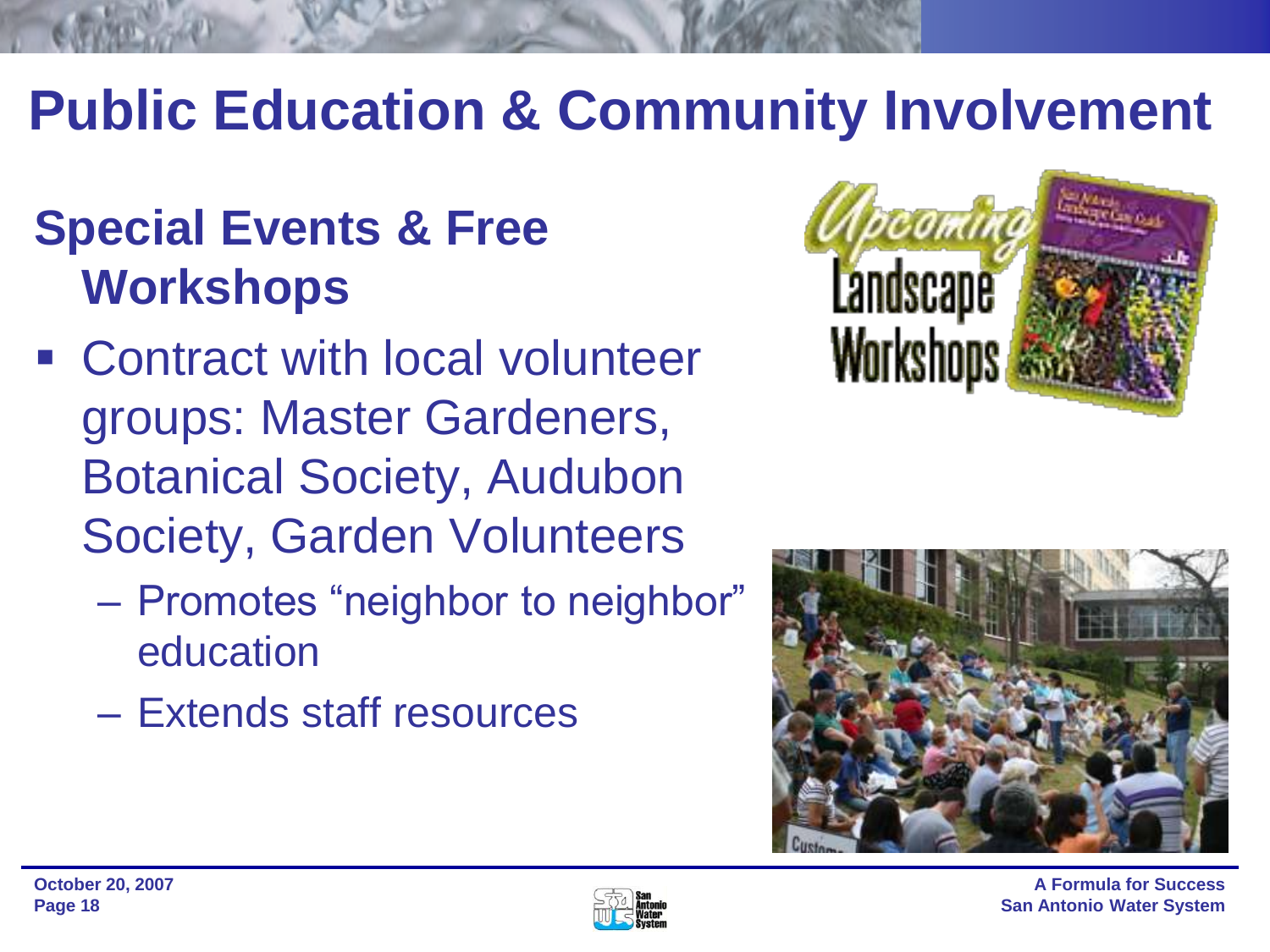## **Public Education & Community Involvement**

## **Special Events & Free Workshops**

- Contract with local volunteer groups: Master Gardeners, Botanical Society, Audubon Society, Garden Volunteers
	- Promotes "neighbor to neighbor" education
	- Extends staff resources





**A Formula for Success San Antonio Water System**

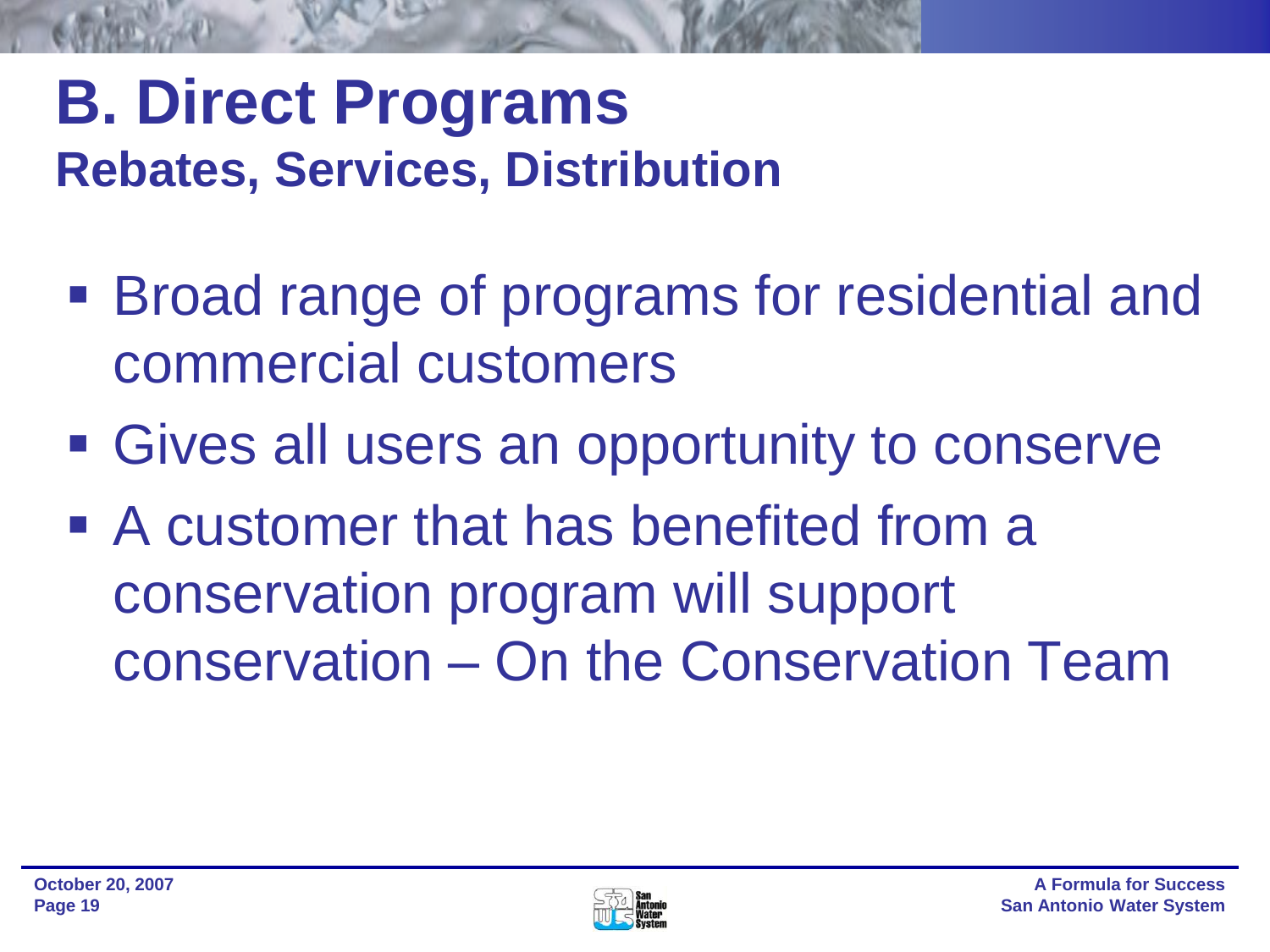## **B. Direct Programs Rebates, Services, Distribution**

- Broad range of programs for residential and commercial customers
- Gives all users an opportunity to conserve
- A customer that has benefited from a conservation program will support conservation – On the Conservation Team

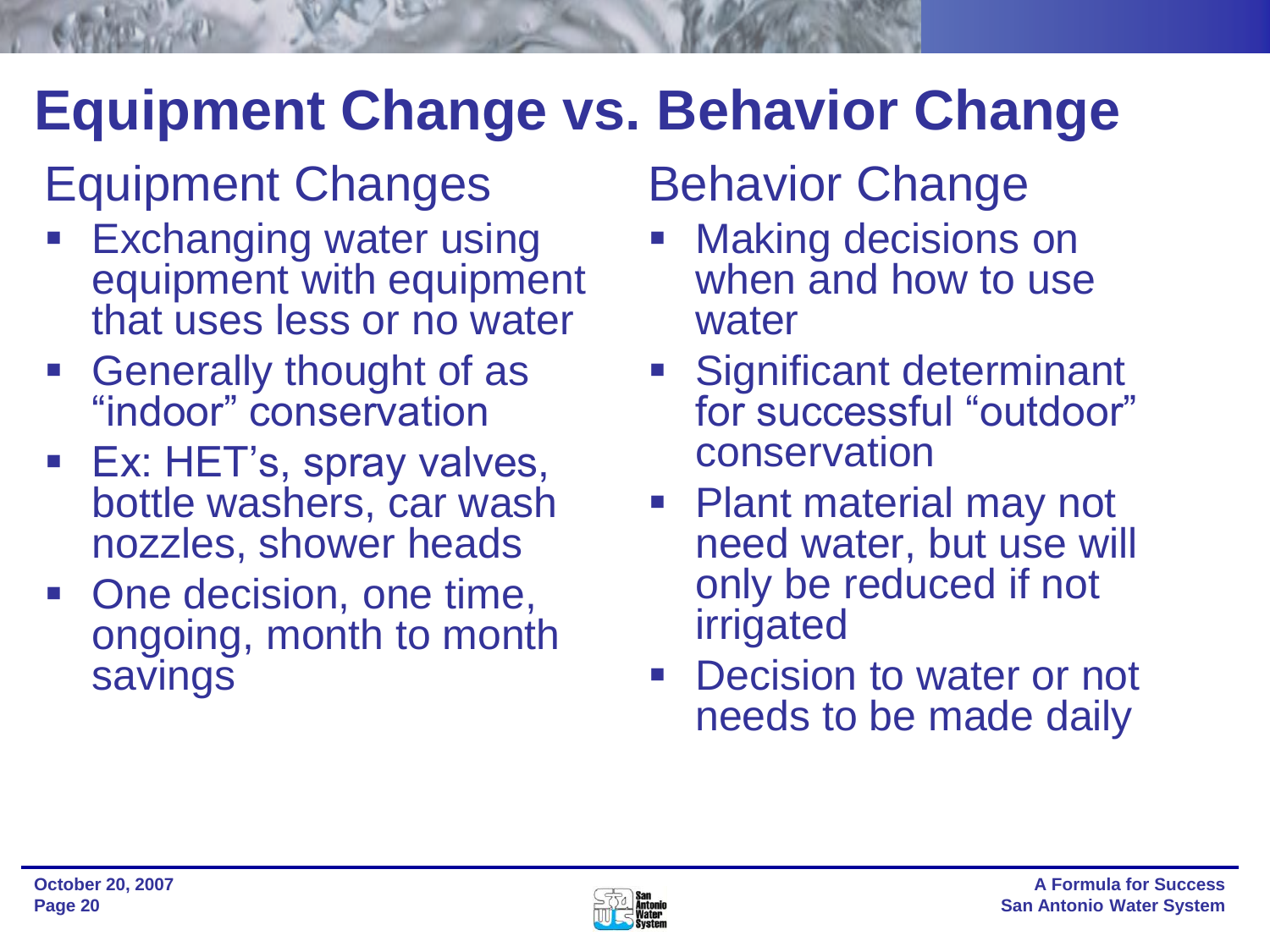## **Equipment Change vs. Behavior Change**

## Equipment Changes

- Exchanging water using equipment with equipment that uses less or no water
- **Generally thought of as** "indoor" conservation
- **Ex: HET's, spray valves,** bottle washers, car wash nozzles, shower heads
- One decision, one time, ongoing, month to month savings

## Behavior Change

- Making decisions on when and how to use water
- **Significant determinant** for successful "outdoor" conservation
- Plant material may not need water, but use will only be reduced if not irrigated
- Decision to water or not needs to be made daily

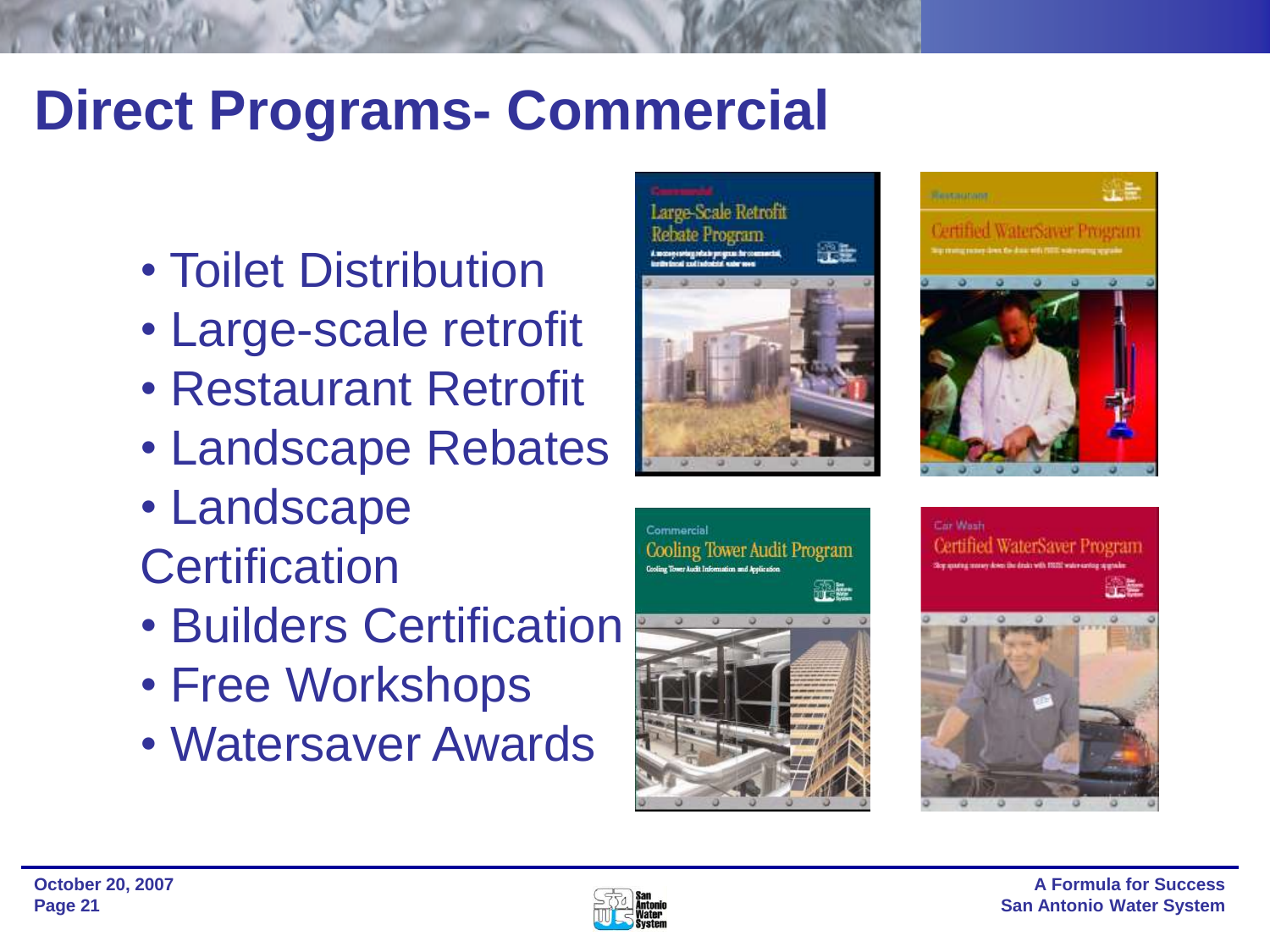## **Direct Programs- Commercial**

- Toilet Distribution
- Large-scale retrofit
- Restaurant Retrofit
- Landscape Rebates
- Landscape **Certification**
- Builders Certification
- Free Workshops
- Watersaver Awards









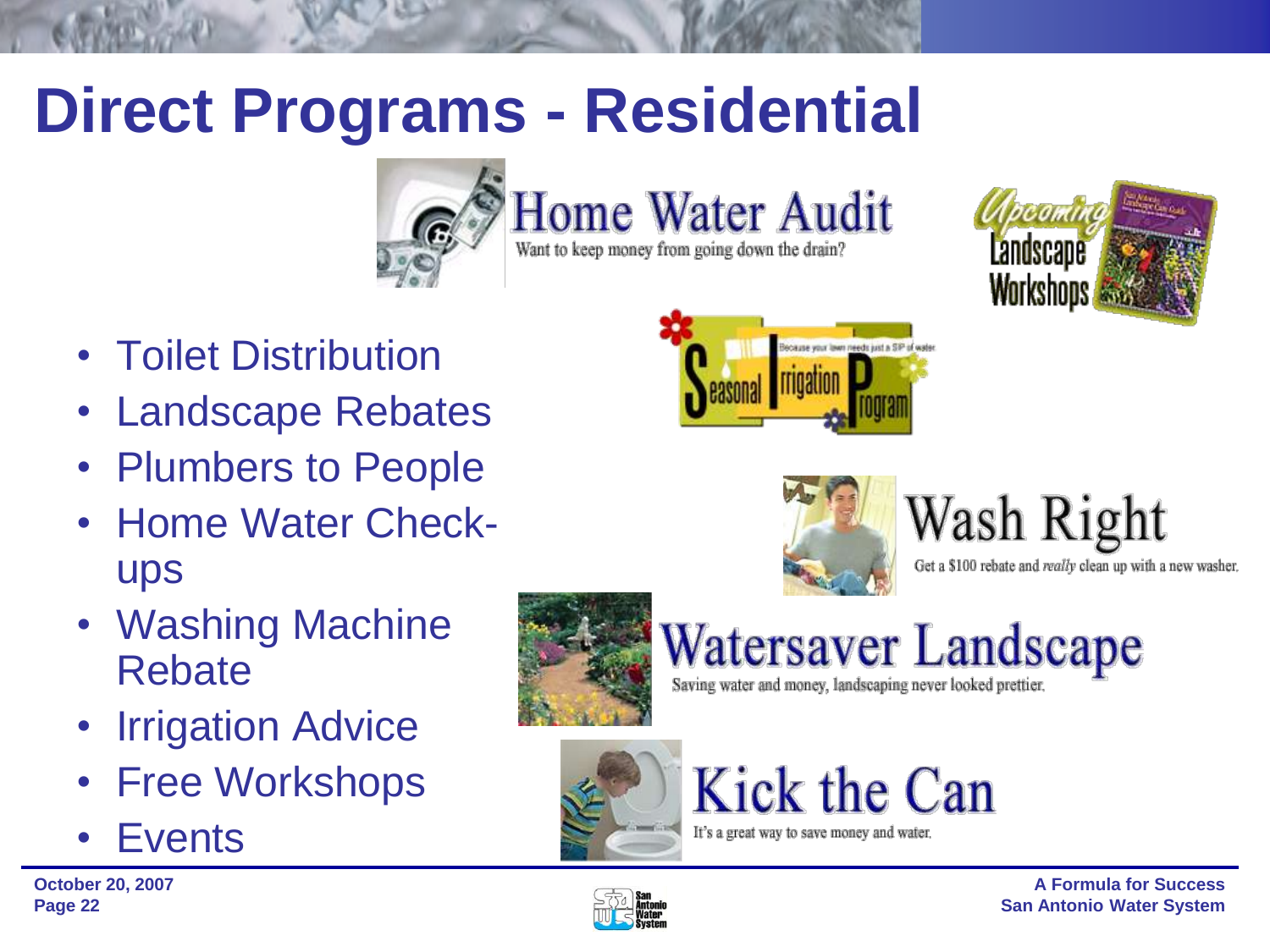## **Direct Programs - Residential**



**Home Water Audit** 

Want to keep money from going down the drain?



- Toilet Distribution
- Landscape Rebates
- Plumbers to People
- Home Water Checkups
- Washing Machine Rebate
- Irrigation Advice
- **Free Workshops**
- **Events**







### Wash Right Get a \$100 rebate and really clean up with a new washer.



Watersaver Landscape

Saving water and money, landscaping never looked prettier.



## Kick the Can

It's a great way to save money and water.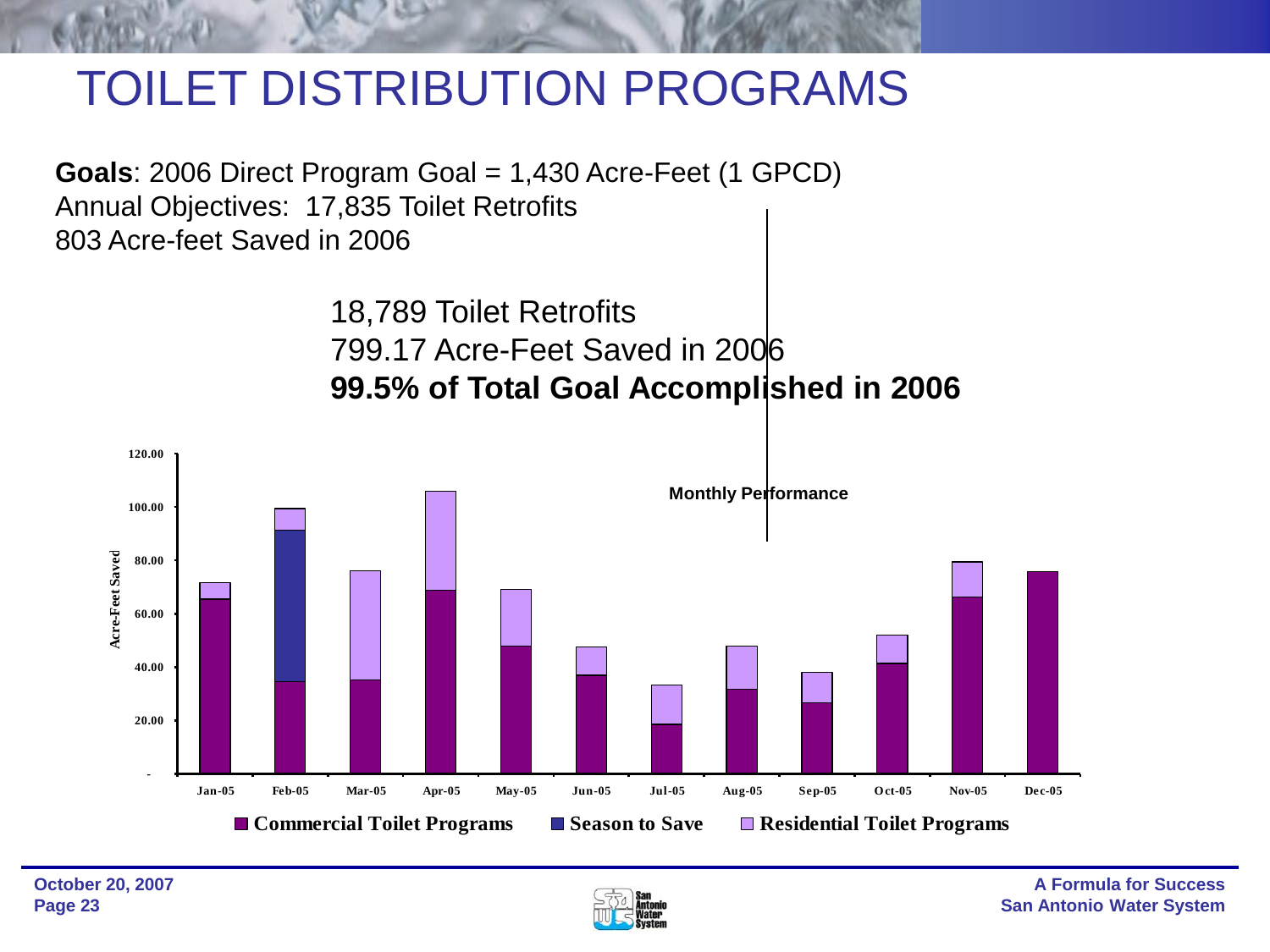## TOILET DISTRIBUTION PROGRAMS

**Goals**: 2006 Direct Program Goal = 1,430 Acre-Feet (1 GPCD) Annual Objectives: 17,835 Toilet Retrofits 803 Acre-feet Saved in 2006

> 18,789 Toilet Retrofits 799.17 Acre-Feet Saved in 2006 **99.5% of Total Goal Accomplished in 2006**



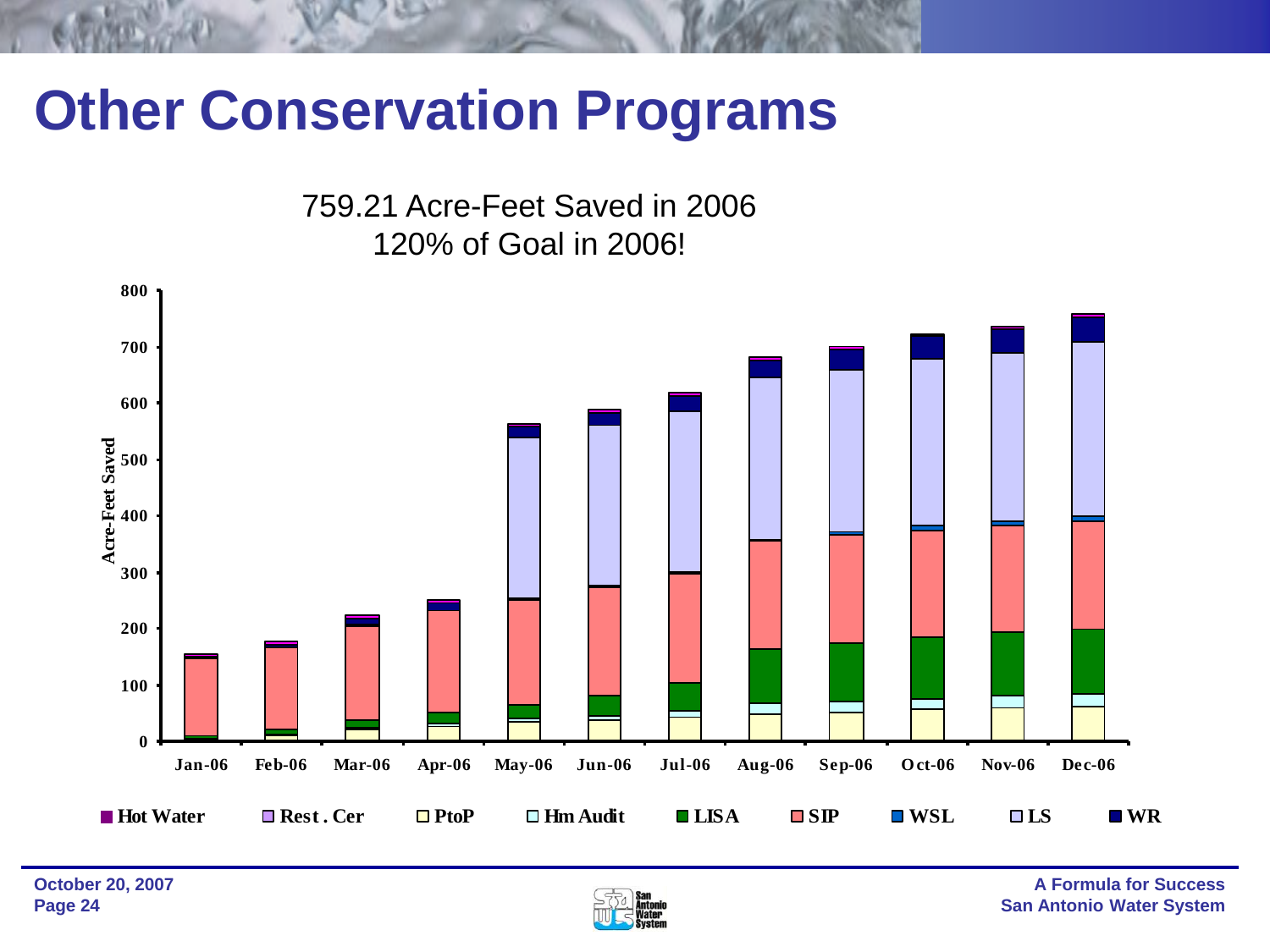## **Other Conservation Programs**

759.21 Acre-Feet Saved in 2006 120% of Goal in 2006!



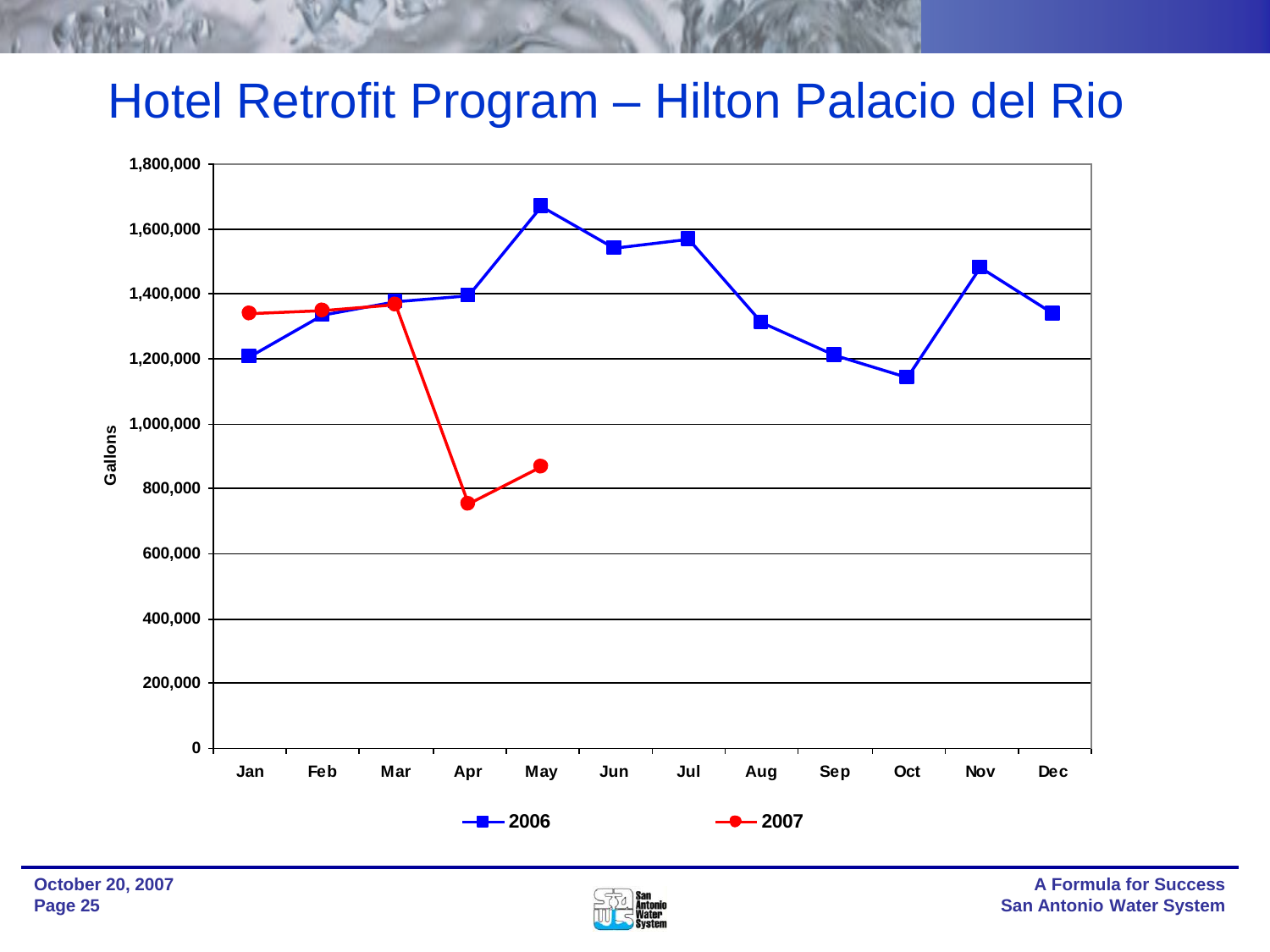#### Iram – H Hotel Retrofit Program – Hilton Palacio del Rio



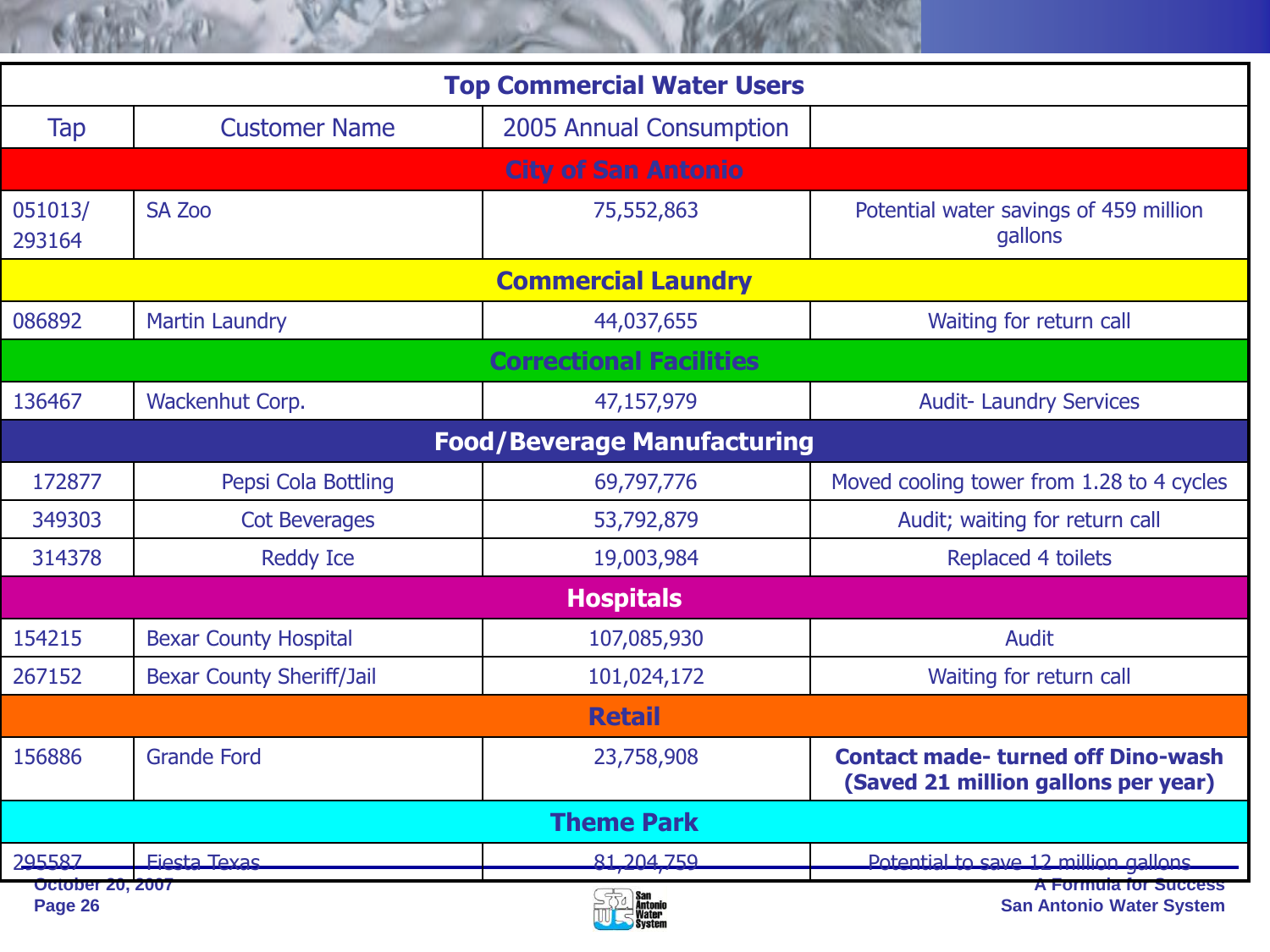| <b>Top Commercial Water Users</b>  |                                  |                                |                                                                                  |  |  |  |  |
|------------------------------------|----------------------------------|--------------------------------|----------------------------------------------------------------------------------|--|--|--|--|
| <b>Tap</b>                         | <b>Customer Name</b>             | 2005 Annual Consumption        |                                                                                  |  |  |  |  |
| <b>City of San Antonio</b>         |                                  |                                |                                                                                  |  |  |  |  |
| 051013/<br>293164                  | <b>SA Zoo</b>                    | 75,552,863                     | Potential water savings of 459 million<br>gallons                                |  |  |  |  |
| <b>Commercial Laundry</b>          |                                  |                                |                                                                                  |  |  |  |  |
| 086892                             | <b>Martin Laundry</b>            | 44,037,655                     | Waiting for return call                                                          |  |  |  |  |
|                                    |                                  | <b>Correctional Facilities</b> |                                                                                  |  |  |  |  |
| 136467                             | Wackenhut Corp.                  | 47,157,979                     | <b>Audit- Laundry Services</b>                                                   |  |  |  |  |
| <b>Food/Beverage Manufacturing</b> |                                  |                                |                                                                                  |  |  |  |  |
| 172877                             | Pepsi Cola Bottling              | 69,797,776                     | Moved cooling tower from 1.28 to 4 cycles                                        |  |  |  |  |
| 349303                             | <b>Cot Beverages</b>             | 53,792,879                     | Audit; waiting for return call                                                   |  |  |  |  |
| 314378                             | <b>Reddy Ice</b>                 | 19,003,984                     | Replaced 4 toilets                                                               |  |  |  |  |
| <b>Hospitals</b>                   |                                  |                                |                                                                                  |  |  |  |  |
| 154215                             | <b>Bexar County Hospital</b>     | 107,085,930                    | <b>Audit</b>                                                                     |  |  |  |  |
| 267152                             | <b>Bexar County Sheriff/Jail</b> | 101,024,172                    | Waiting for return call                                                          |  |  |  |  |
| <b>Retail</b>                      |                                  |                                |                                                                                  |  |  |  |  |
| 156886                             | <b>Grande Ford</b>               | 23,758,908                     | <b>Contact made- turned off Dino-wash</b><br>(Saved 21 million gallons per year) |  |  |  |  |
| <b>Theme Park</b>                  |                                  |                                |                                                                                  |  |  |  |  |
| 295587                             | <b>Fiesta Texas</b>              | 81, 204, 759                   | Potential to save 12 million gallons                                             |  |  |  |  |
| <b>October 20, 2007</b>            |                                  | $572$ San                      | A Formula for Success<br><b>Construction of the Material Construction</b>        |  |  |  |  |

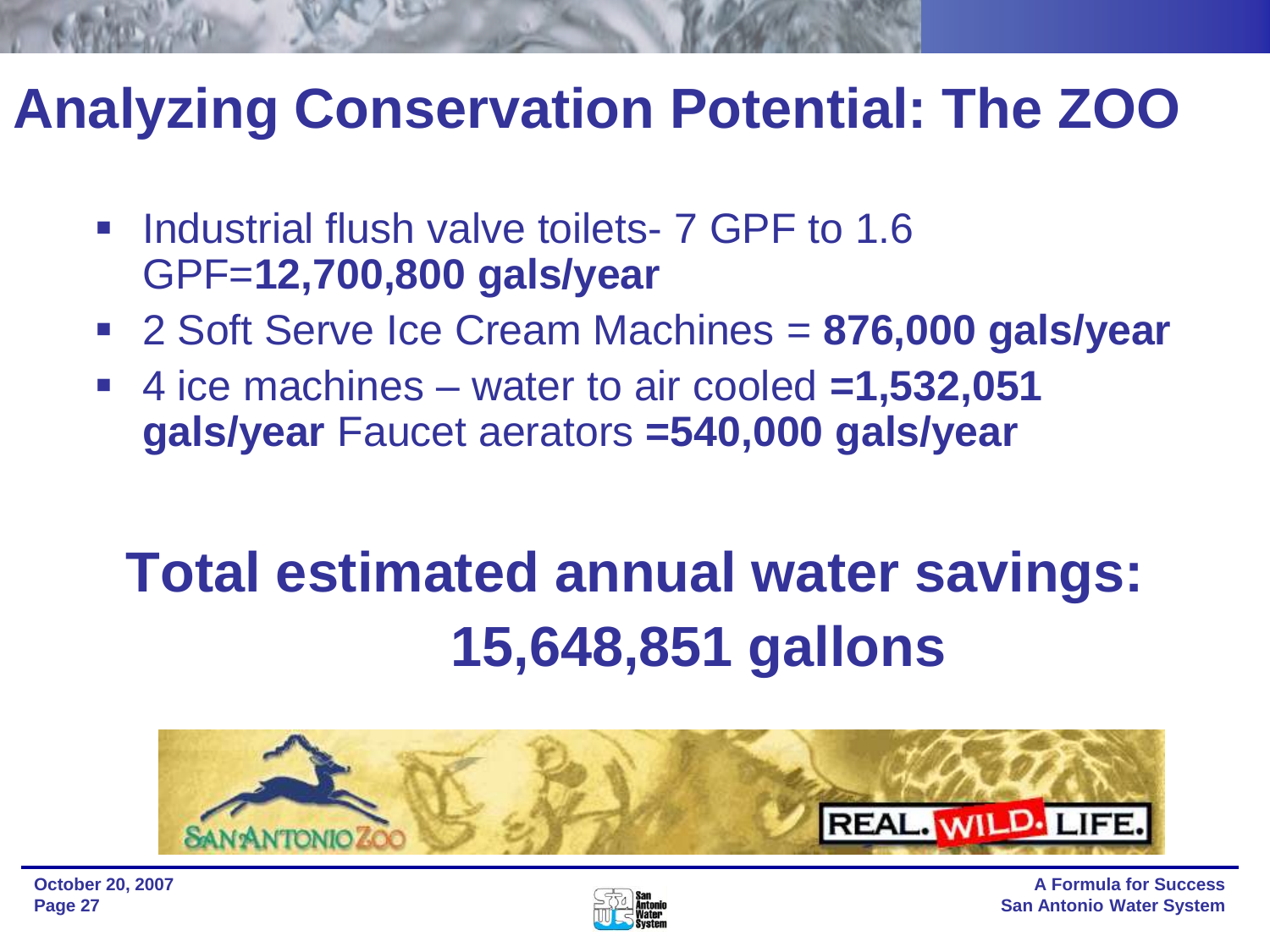## **Analyzing Conservation Potential: The ZOO**

- Industrial flush valve toilets- 7 GPF to 1.6 GPF=**12,700,800 gals/year**
- 2 Soft Serve Ice Cream Machines = **876,000 gals/year**
- 4 ice machines water to air cooled **=1,532,051 gals/year** Faucet aerators **=540,000 gals/year**

## **Total estimated annual water savings: 15,648,851 gallons**



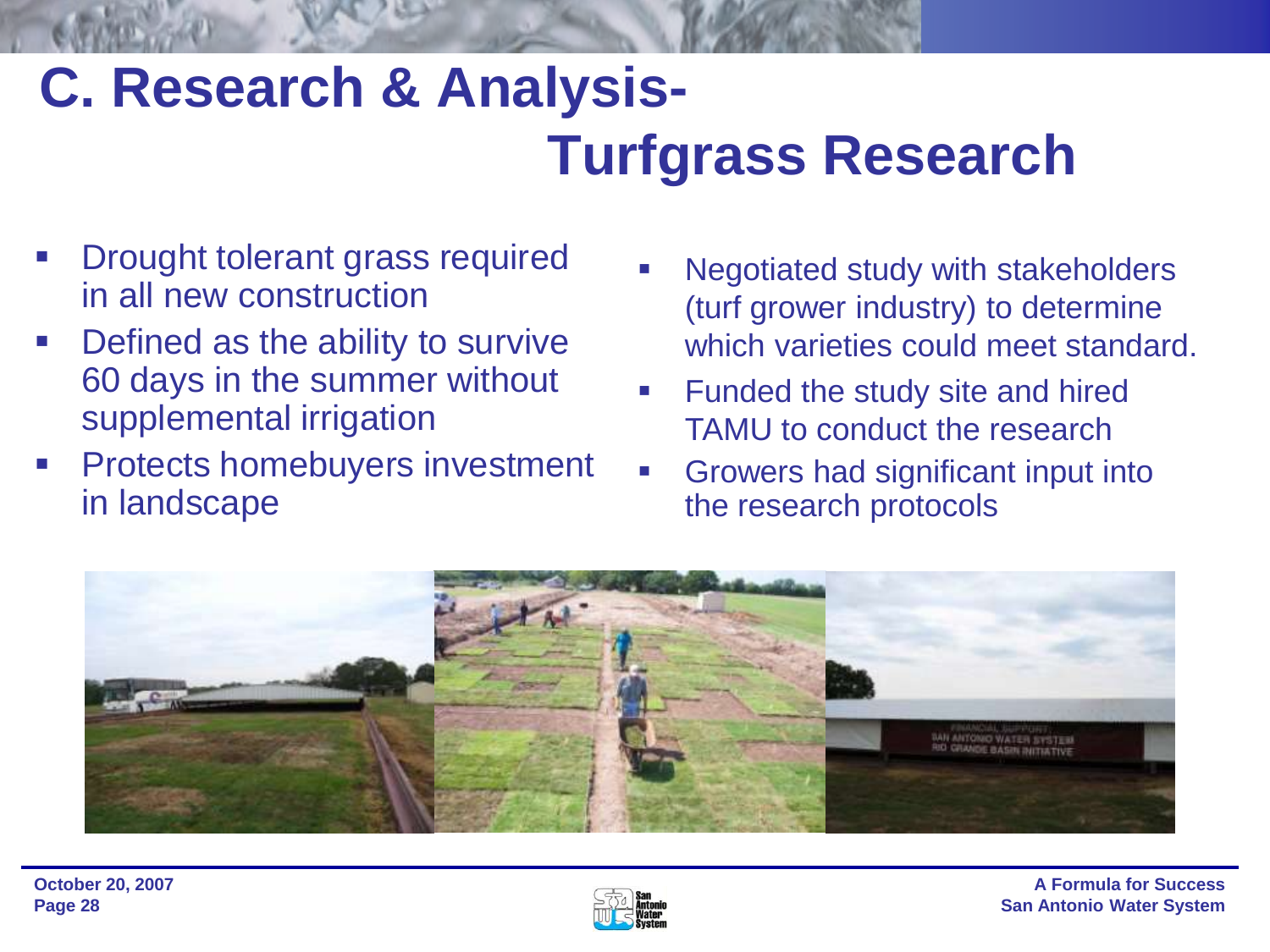## **C. Research & Analysis-Turfgrass Research**

- Drought tolerant grass required in all new construction
- **-** Defined as the ability to survive 60 days in the summer without supplemental irrigation
- Protects homebuyers investment in landscape
- Negotiated study with stakeholders (turf grower industry) to determine which varieties could meet standard.
- **Funded the study site and hired** TAMU to conduct the research
- Growers had significant input into the research protocols



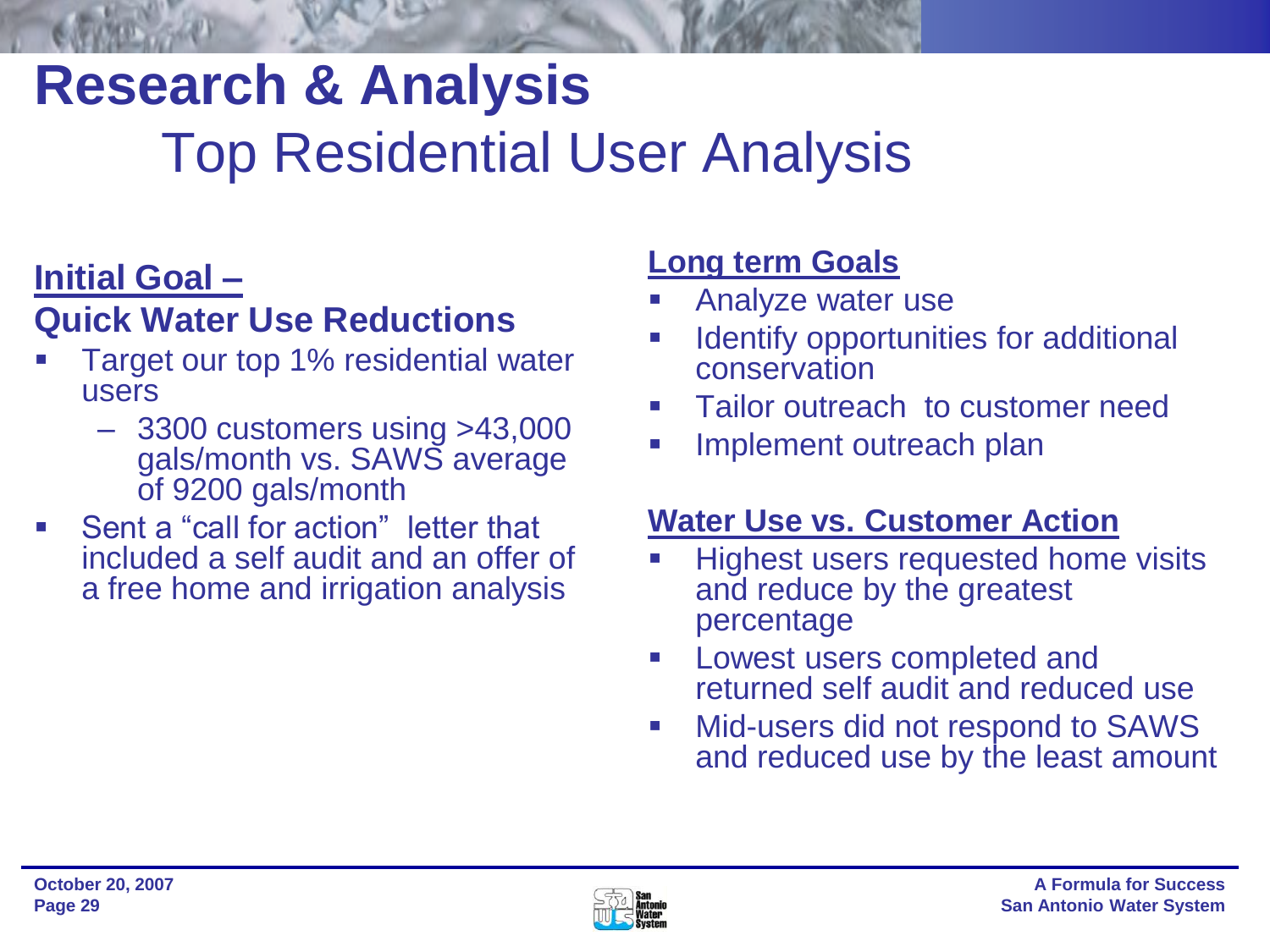## **Research & Analysis** Top Residential User Analysis

### **Initial Goal –**

### **Quick Water Use Reductions**

- Target our top 1% residential water users
	- 3300 customers using >43,000 gals/month vs. SAWS average of 9200 gals/month
- Sent a "call for action" letter that included a self audit and an offer of a free home and irrigation analysis

### **Long term Goals**

- Analyze water use
- Identify opportunities for additional conservation
- Tailor outreach to customer need
- **Implement outreach plan**

### **Water Use vs. Customer Action**

- Highest users requested home visits and reduce by the greatest percentage
- **Lowest users completed and** returned self audit and reduced use
- **Nid-users did not respond to SAWS** and reduced use by the least amount

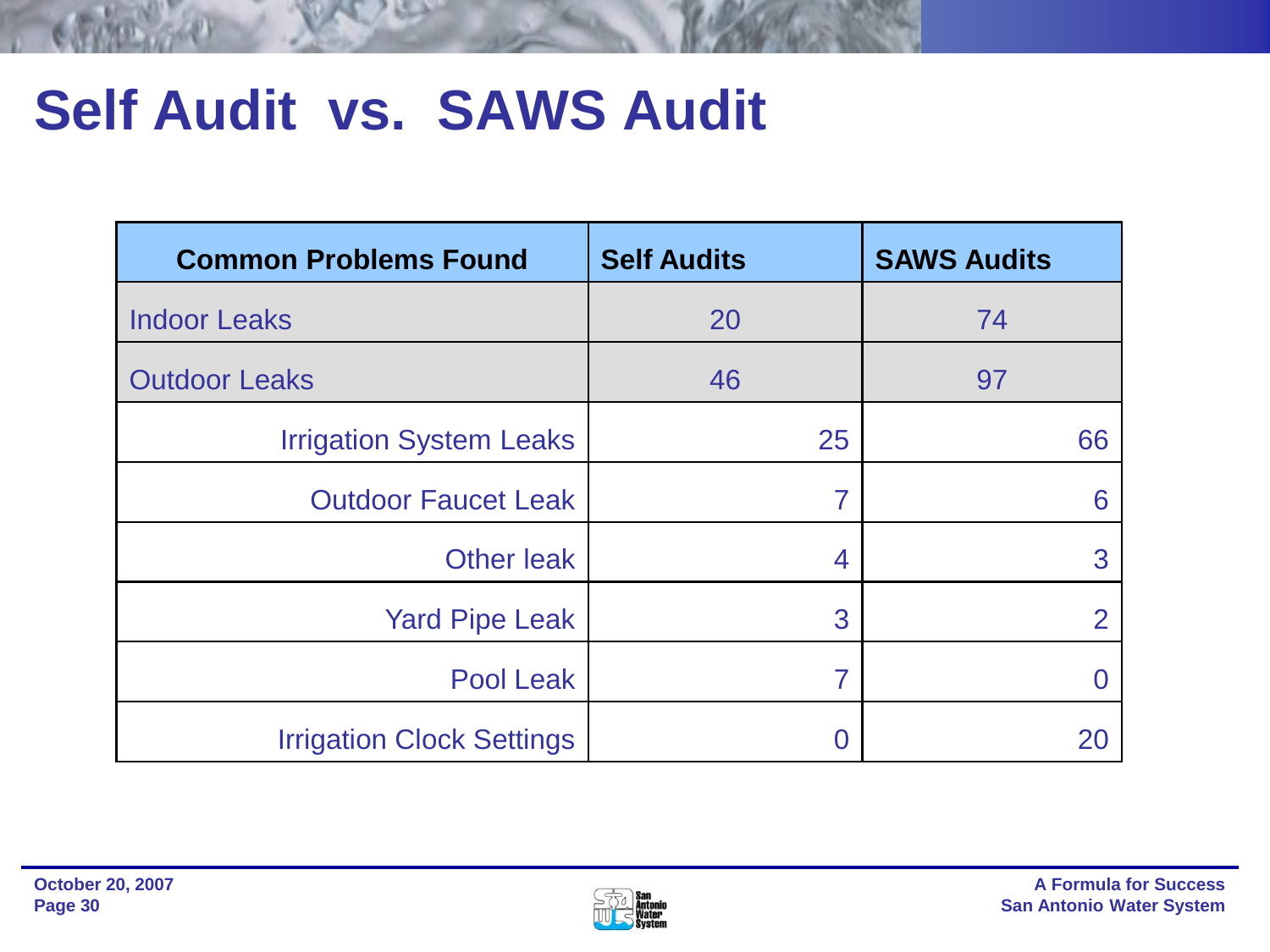## **Self Audit vs. SAWS Audit**

| <b>Common Problems Found</b>     | <b>Self Audits</b> | <b>SAWS Audits</b> |
|----------------------------------|--------------------|--------------------|
| <b>Indoor Leaks</b>              | 20                 | 74                 |
| <b>Outdoor Leaks</b>             | 46                 | 97                 |
| <b>Irrigation System Leaks</b>   | 25                 | 66                 |
| <b>Outdoor Faucet Leak</b>       | 7                  | 6                  |
| <b>Other leak</b>                | 4                  | 3                  |
| <b>Yard Pipe Leak</b>            | 3                  | $\overline{2}$     |
| <b>Pool Leak</b>                 | 7                  |                    |
| <b>Irrigation Clock Settings</b> | 0                  | 20                 |

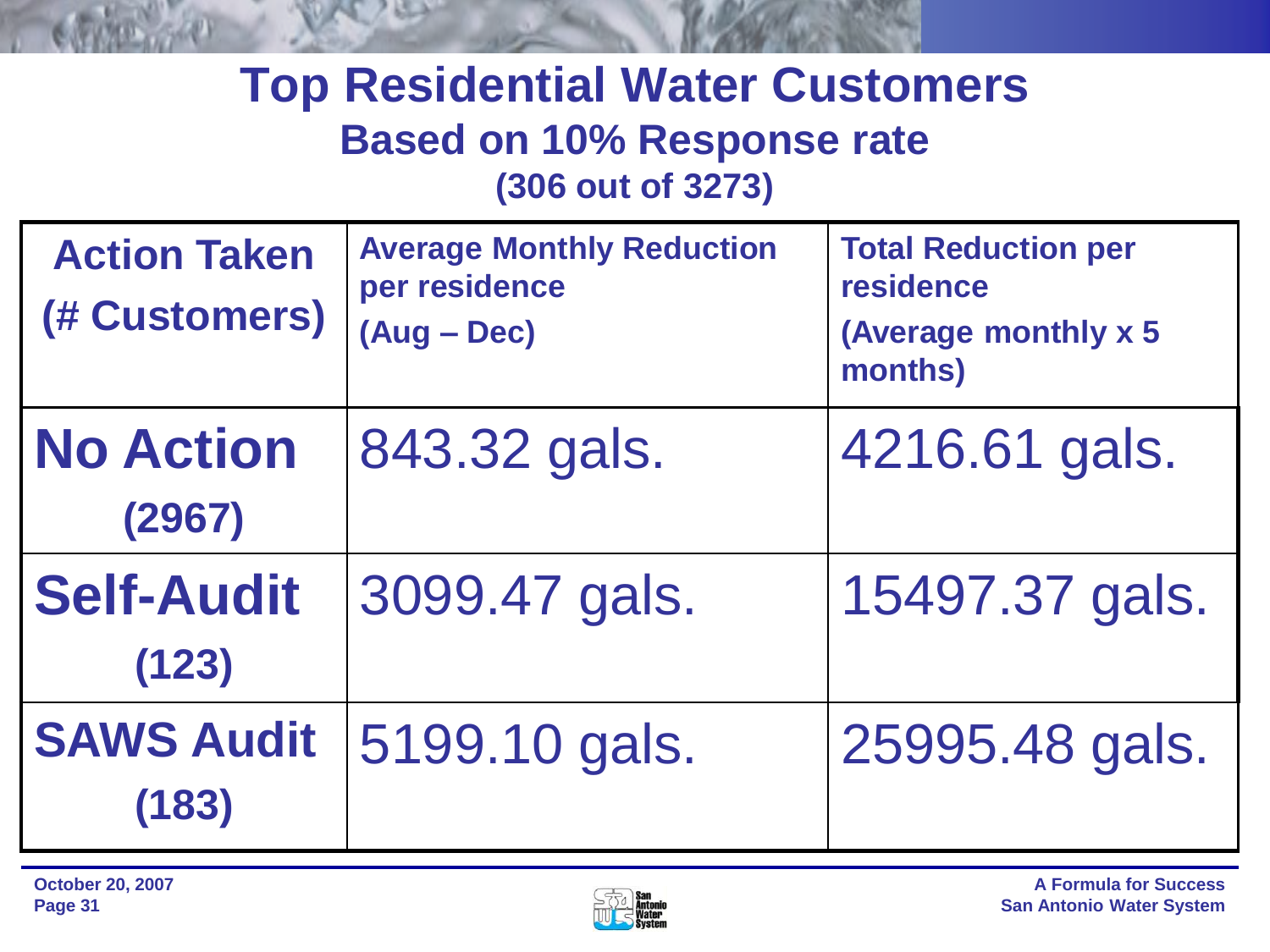### **Top Residential Water Customers Based on 10% Response rate (306 out of 3273)**

| <b>Action Taken</b><br>(# Customers) | <b>Average Monthly Reduction</b><br>per residence<br>$(Aug - Dec)$ | <b>Total Reduction per</b><br><b>residence</b><br>(Average monthly x 5)<br>months) |
|--------------------------------------|--------------------------------------------------------------------|------------------------------------------------------------------------------------|
| <b>No Action</b><br>(2967)           | 843.32 gals.                                                       | 4216.61 gals.                                                                      |
| <b>Self-Audit</b><br>(123)           | 3099.47 gals.                                                      | 15497.37 gals.                                                                     |
| <b>SAWS Audit</b><br>(183)           | 5199.10 gals.                                                      | 25995.48 gals.                                                                     |

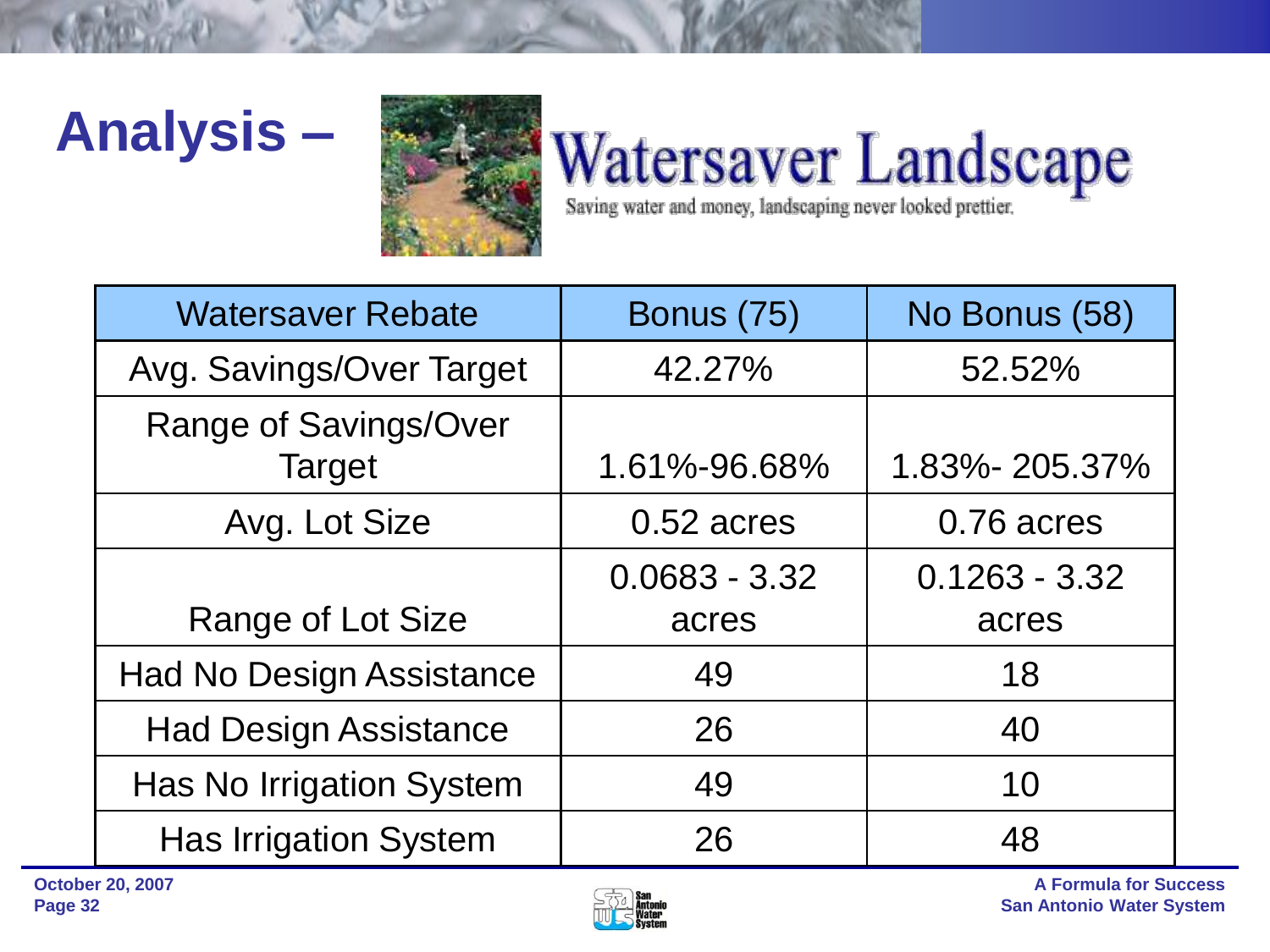## **Analysis –**



# Watersaver LandScape

| <b>Watersaver Rebate</b>               | <b>Bonus (75)</b> | No Bonus (58)   |
|----------------------------------------|-------------------|-----------------|
| Avg. Savings/Over Target               | 42.27%            | 52.52%          |
| Range of Savings/Over<br><b>Target</b> | 1.61%-96.68%      | 1.83%-205.37%   |
| Avg. Lot Size                          | $0.52$ acres      | 0.76 acres      |
|                                        | $0.0683 - 3.32$   | $0.1263 - 3.32$ |
| <b>Range of Lot Size</b>               | acres             | acres           |
| <b>Had No Design Assistance</b>        | 49                | 18              |
| <b>Had Design Assistance</b>           | 26                | 40              |
| <b>Has No Irrigation System</b>        | 49                | 10              |
| <b>Has Irrigation System</b>           | 26                | 48              |

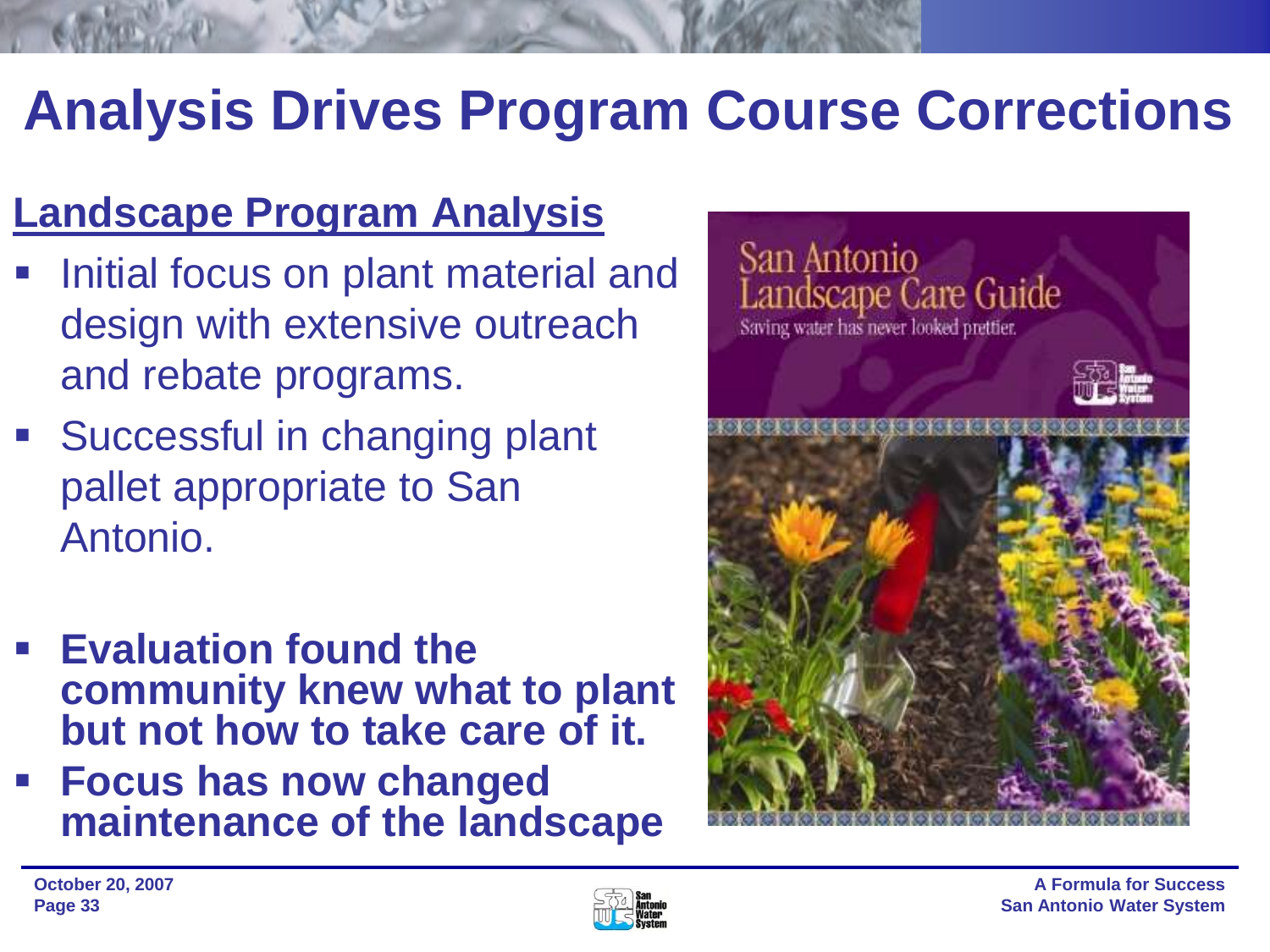## **Analysis Drives Program Course Corrections**

### **Landscape Program Analysis**

- Initial focus on plant material and design with extensive outreach and rebate programs.
- **Successful in changing plant** pallet appropriate to San Antonio.
- **Evaluation found the community knew what to plant but not how to take care of it.**
- **Focus has now changed maintenance of the landscape**



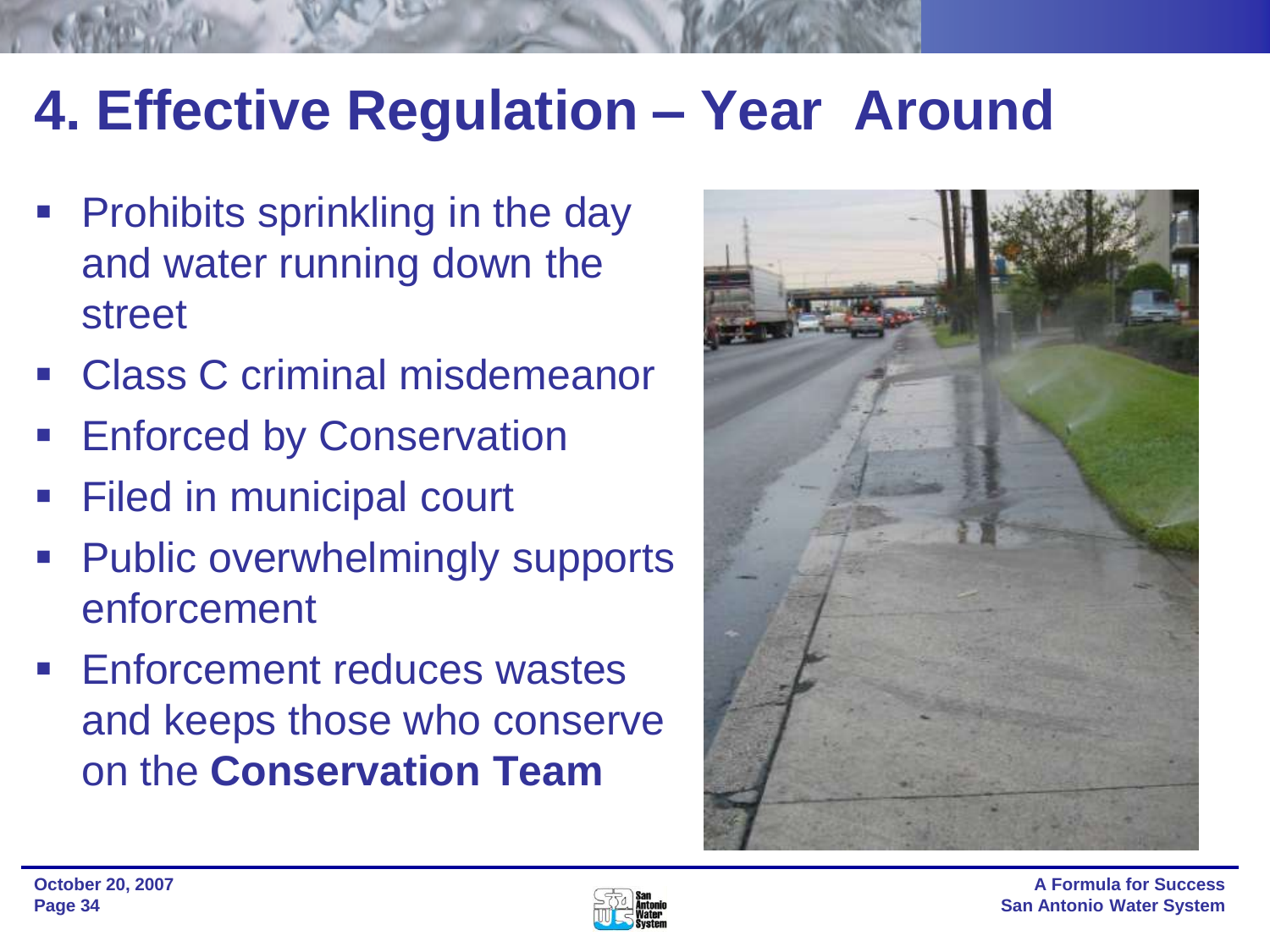## **4. Effective Regulation – Year Around**

- Prohibits sprinkling in the day and water running down the street
- Class C criminal misdemeanor
- Enforced by Conservation
- Filed in municipal court
- **Public overwhelmingly supports** enforcement
- **Enforcement reduces wastes** and keeps those who conserve on the **Conservation Team**



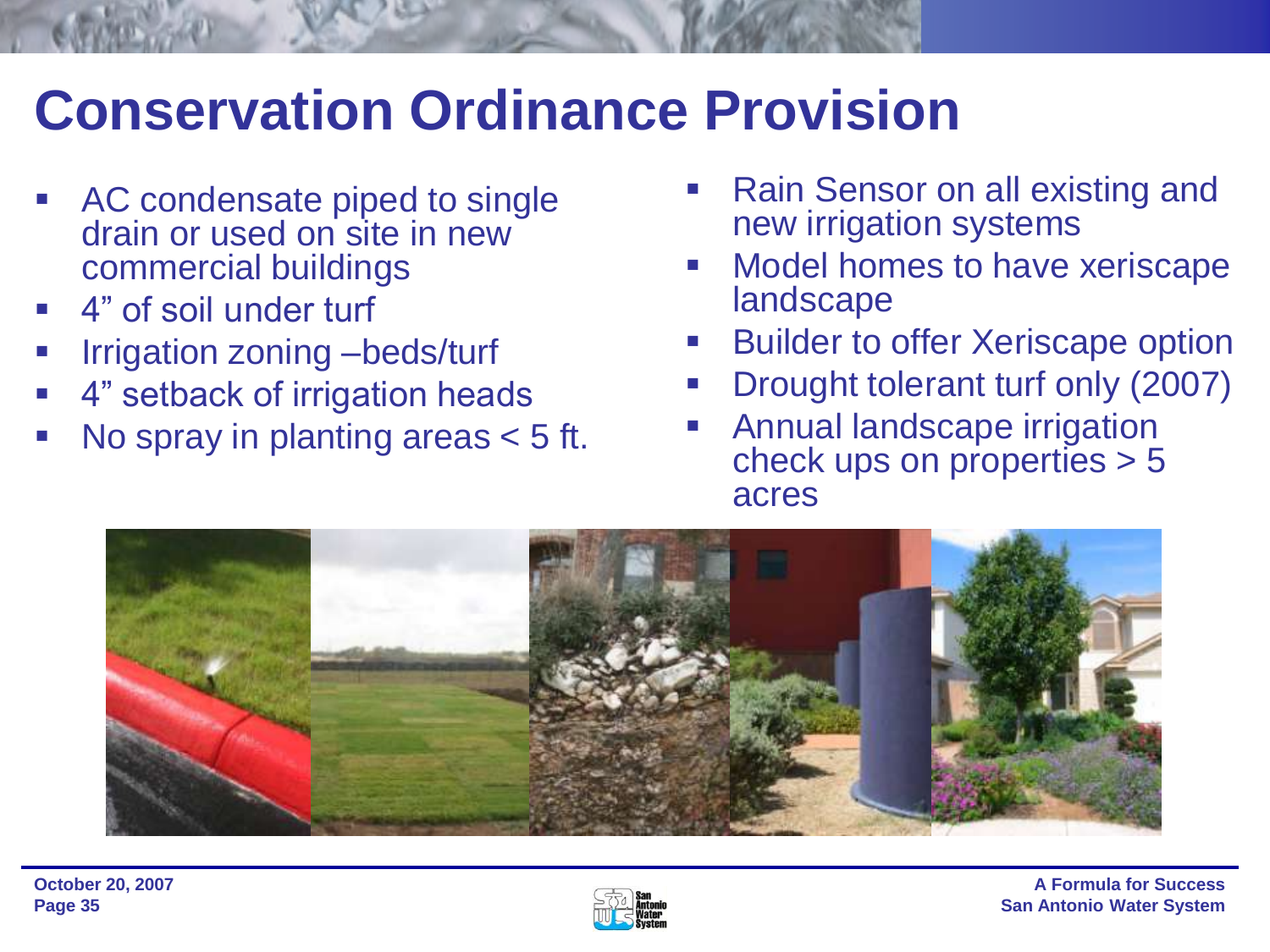## **Conservation Ordinance Provision**

- **AC condensate piped to single** drain or used on site in new commercial buildings
- 4" of soil under turf
- Irrigation zoning –beds/turf
- 4" setback of irrigation heads
- No spray in planting areas < 5 ft.
- Rain Sensor on all existing and new irrigation systems
- Model homes to have xeriscape landscape
- Builder to offer Xeriscape option
- Drought tolerant turf only (2007)
- Annual landscape irrigation check ups on properties > 5 acres



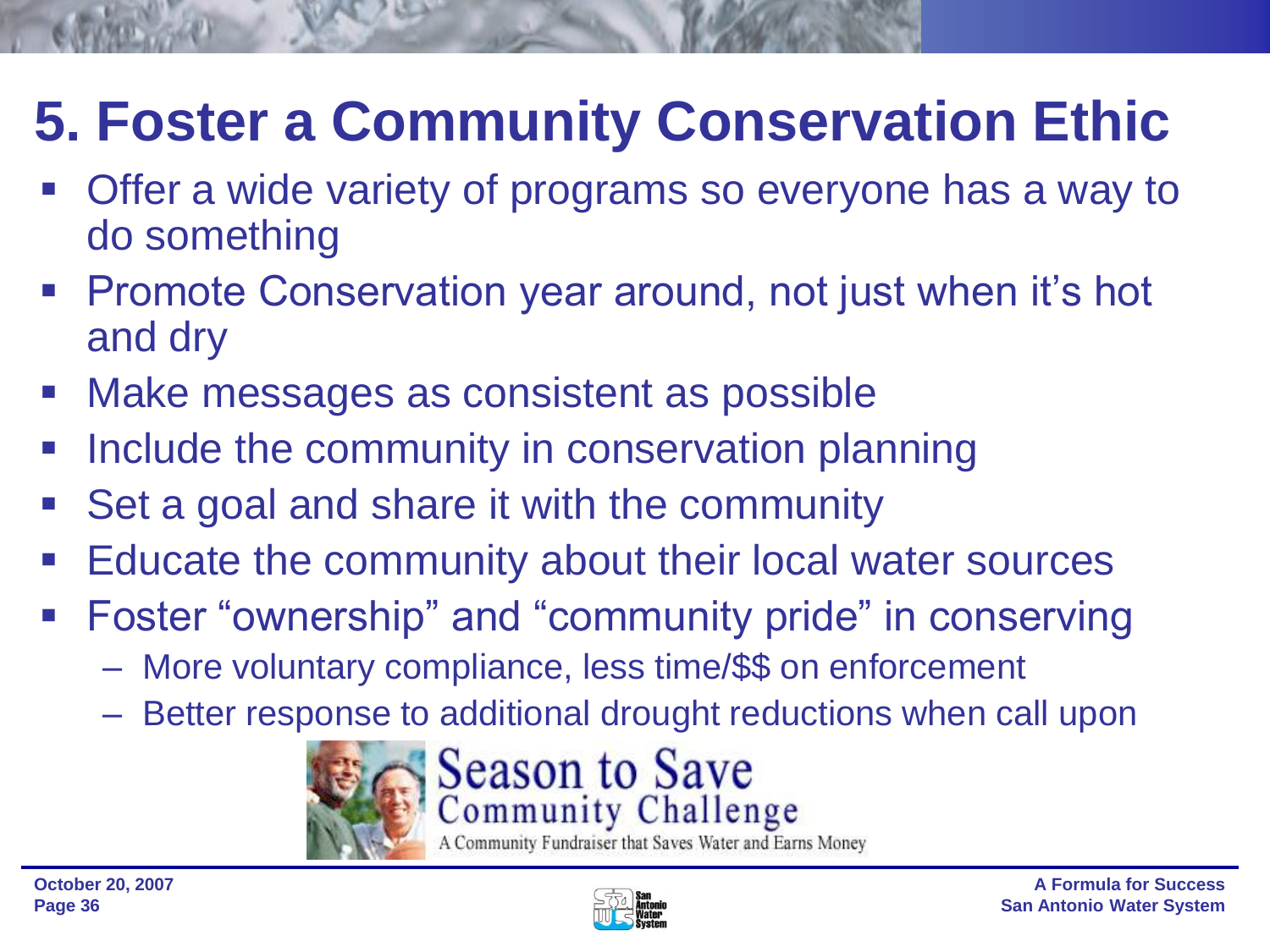## **5. Foster a Community Conservation Ethic**

- Offer a wide variety of programs so everyone has a way to do something
- **Promote Conservation year around, not just when it's hot** and dry
- Make messages as consistent as possible
- Include the community in conservation planning
- Set a goal and share it with the community
- **Educate the community about their local water sources**
- **Foster "ownership" and "community pride" in conserving** 
	- More voluntary compliance, less time/\$\$ on enforcement
	- Better response to additional drought reductions when call upon



## Season to Save<br>Community Challenge

A Community Fundraiser that Saves Water and Earns Money